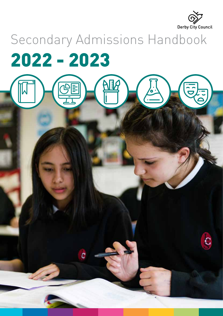

C

# Secondary Admissions Handbook 2022 - 2023

**AIR** 

 $\overline{\mathcal{C}}$ 

OPE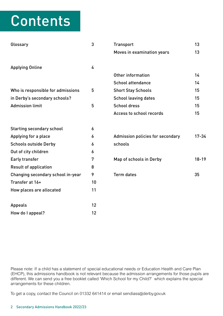## Contents

| Glossary                          | 3                | <b>Transport</b>                        | 13        |
|-----------------------------------|------------------|-----------------------------------------|-----------|
|                                   |                  | Moves in examination years              | 13        |
|                                   |                  |                                         |           |
| <b>Applying Online</b>            | 4                |                                         |           |
|                                   |                  | Other information                       | 14        |
|                                   |                  | <b>School attendance</b>                | 14        |
| Who is responsible for admissions | 5                | <b>Short Stay Schools</b>               | 15        |
| in Derby's secondary schools?     |                  | <b>School leaving dates</b>             | 15        |
| <b>Admission limit</b>            | 5                | <b>School dress</b>                     | 15        |
|                                   |                  | Access to school records                | 15        |
| <b>Starting secondary school</b>  | $\boldsymbol{6}$ |                                         |           |
| Applying for a place              | 6                | <b>Admission policies for secondary</b> | $17 - 34$ |
| <b>Schools outside Derby</b>      | 6                | schools                                 |           |
| Out of city children              | 6                |                                         |           |
| Early transfer                    | 7                | Map of schools in Derby                 | $18 - 19$ |
| <b>Result of application</b>      | 8                |                                         |           |
| Changing secondary school in-year | 9                | <b>Term dates</b>                       | 35        |
| Transfer at 16+                   | 10               |                                         |           |
| How places are allocated          | 11               |                                         |           |
| <b>Appeals</b>                    | 12               |                                         |           |
| How do I appeal?                  | 12               |                                         |           |

Please note: If a child has a statement of special educational needs or Education Health and Care Plan (EHCP), this admissions handbook is not relevant because the admission arrangements for those pupils are different. We can send you a free booklet called 'Which School for my Child?' which explains the special arrangements for these children.

To get a copy, contact the Council on 01332 641414 or email sendiass@derby.gov.uk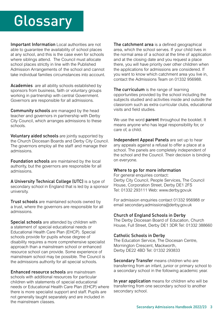## **Glossary**

Important Information Local authorities are not able to guarantee the availability of school places at any school, and this is the case even for schools where siblings attend. The Council must allocate school places strictly in line with the Published Admission Arrangements of the school and cannot take individual families circumstances into account.

Academies are all ability schools established by sponsors from business, faith or voluntary groups working in partnership with central Government. Governors are responsible for all admissions.

Community schools are managed by the head teacher and governors in partnership with Derby City Council, which arranges admissions to these schools.

Voluntary aided schools are jointly supported by the Church Diocesan Boards and Derby City Council. The governors employ all the staff and manage their admissions.

Foundation schools are maintained by the local authority, but the governors are responsible for all admissions.

A University Technical College (UTC) is a type of secondary school in England that is led by a sponsor university.

Trust schools are maintained schools owned by a trust, where the governors are responsible for all admissions.

Special schools are attended by children with a statement of special educational needs or Educational Health Care Plan (EHCP). Special schools provide for pupils whose degree of disability requires a more comprehensive specialist approach than a mainstream school or enhanced resource school can provide. Some experience of mainstream school may be possible. The Council is the admissions authority for all special schools.

Enhanced resource schools are mainstream schools with additional resources for particular children with statements of special educational needs or Educational Health Care Plan (EHCP) where there is more specialist support and staff. Pupils are not generally taught separately and are included in the mainstream classes.

The catchment area is a defined geographical area, which the school serves. If your child lives in the normal area of a school at the time of application and at the closing date and you request a place there, you will have priority over other children when the applications for admissions are considered. If you want to know which catchment area you live in, contact the Admissions Team on 01332 956988.

The curriculum is the range of learning opportunities provided by the school including the subjects studied and activities inside and outside the classroom such as extra curricular clubs, educational visits and field studies.

We use the word parent throughout the booklet. It means anyone who has legal responsibility for, or care of, a child.

Independent Appeal Panels are set up to hear any appeals against a refusal to offer a place at a school. The panels are completely independent of the school and the Council. Their decision is binding on everyone.

#### Where to go for more information

For general enquiries contact: Derby City Council, People Services, The Council House, Corporation Street, Derby DE1 2FS Tel: 01332 293111 Web: <www.derby.gov.uk>

For admission enquiries contact 01332 956988 or email secondary.admissions@derby.gov.uk

#### Church of England Schools in Derby

The Derby Diocesan Board of Education, Church House, Full Street, Derby DE1 3DR Tel: 01332 388660

#### Catholic Schools in Derby

The Education Service, The Diocesan Centre, Mornington Crescent, Mackworth, Derby DE22 4BD Tel: 01332 293833

Secondary Transfer means children who are transferring from an infant, junior or primary school to a secondary school in the following academic year.

In year application means for children who will be transferring from one secondary school to another secondary school.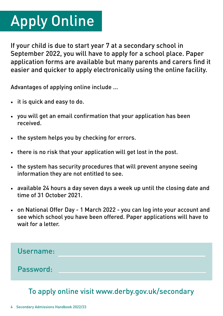# <span id="page-3-0"></span>Apply Online

If your child is due to start year 7 at a secondary school in September 2022, you will have to apply for a school place. Paper application forms are available but many parents and carers find it easier and quicker to apply electronically using the online facility.

Advantages of applying online include ...

- it is quick and easy to do.
- you will get an email confirmation that your application has been received.
- the system helps you by checking for errors.
- there is no risk that your application will get lost in the post.
- the system has security procedures that will prevent anyone seeing information they are not entitled to see.
- available 24 hours a day seven days a week up until the closing date and time of 31 October 2021.
- on National Offer Day 1 March 2022 you can log into your account and see which school you have been offered. Paper applications will have to wait for a letter.



## To apply online visit<www.derby.gov.uk/secondary>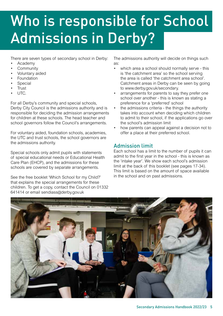## <span id="page-4-0"></span>Who is responsible for School Admissions in Derby?

There are seven types of secondary school in Derby:

- Academy
- **Community**
- Voluntary aided
- **Foundation**
- **Special**
- **Trust**
- UTC.

For all Derby's community and special schools, Derby City Council is the admissions authority and is responsible for deciding the admission arrangements for children at these schools. The head teacher and school governors follow the Council's arrangements.

For voluntary aided, foundation schools, academies, the UTC and trust schools, the school governors are the admissions authority.

Special schools only admit pupils with statements of special educational needs or Educational Health Care Plan (EHCP), and the admissions for these schools are covered by separate arrangements.

See the free booklet 'Which School for my Child?' that explains the special arrangements for these children. To get a copy, contact the Council on 01332 641414 or email sendiass@derby.gov.uk

The admissions authority will decide on things such as:

- which area a school should normally serve this is 'the catchment area' so the school serving the area is called 'the catchment area school'. Catchment areas in Derby can be seen by going to [www.derby.gov.uk/secondary.](www.derby.gov.uk/secondary)
- arrangements for parents to say they prefer one school over another - this is known as stating a preference for a 'preferred' school
- the admissions criteria the things the authority takes into account when deciding which children to admit to their school, if the applications go over the school's admission limit
- how parents can appeal against a decision not to offer a place at their preferred school.

## Admission limit

Each school has a limit to the number of pupils it can admit to the first year in the school - this is known as the 'intake year'. We show each school's admission limit at the back of this booklet (see pages 17-34). This limit is based on the amount of space available in the school and on past admissions.

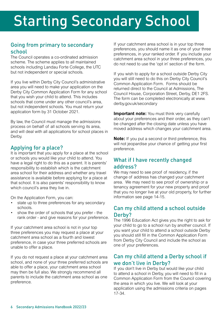## <span id="page-5-0"></span>Starting Secondary School

#### Going from primary to secondary school

The Council operates a co-ordinated admission scheme. The scheme applies to all maintained schools including Landau Forte College, the UTC but not independent or special schools.

If you live within Derby City Council's administrative area you will need to make your application on the Derby City Common Application Form for any school that you wish your child to attend. This includes schools that come under any other council's area, but not independent schools. You must return your application form by 31 October 2021.

By law, the Council must manage the admissions process on behalf of all schools serving its area, and will deal with all applications for school places in Derby.

#### Applying for a place?

It is important that you apply for a place at the school or schools you would like your child to attend. You have a legal right to do this as a parent. It is parents' responsibility to establish which is the catchment area school for their address and whether any travel assistance is available before applying for a place at that school. It is also parents' responsibility to know which council's area they live in.

On the Application Form, you can:

- state up to three preferences for any secondary schools.
- show the order of schools that you prefer the rank order - and give reasons for your preference.

If your catchment area school is not in your top three preferences you may request a place at your catchment area school as a fourth and lowest preference, in case your three preferred schools are unable to offer a place.

If you do not request a place at your catchment area school, and none of your three preferred schools are able to offer a place, your catchment area school may then be full also. We strongly recommend all parents to include the catchment area school as one preference.

If your catchment area school is in your top three preferences, you should name it as one of your three preferences, in your ranked order. If you include your catchment area school in your three preferences, you do not need to use the 'opt in' section of the form.

If you wish to apply for a school outside Derby City you will still need to do this on Derby City Council's Common Application Form. Forms should be returned direct to the Council at Admissions, The Council House, Corporation Street, Derby, DE1 2FS. The form can be completed electronically at www. derby.gov.uk/secondary

**Important note:** You must think very carefully about your preferences and their order, as they can't be changed after the closing date unless you have moved address which changes your catchment area.

**Note:** If you put a second or third preference, this will not jeopardise your chance of getting your first preference.

### What if I have recently changed address?

We may need to see proof of residency, if the change of address has changed your catchment area. We may need to see proof of ownership or a tenancy agreement for your new property and proof that you no longer live at your old property, for further information see page 14-15.

#### Can my child attend a school outside Derby?

The 1996 Education Act gives you the right to ask for your child to go to a school run by another council. If you want your child to attend a school outside Derby you should still fill in the Common Application Form from Derby City Council and include the school as one of your preferences.

#### Can my child attend a Derby school if we don't live in Derby?

If you don't live in Derby but would like your child to attend a school in Derby, you will need to fill in a Common Application Form from the Council covering the area in which you live. We will look at your application using the admissions criteria on pages 17-34.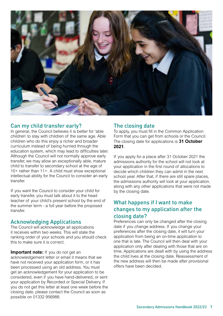<span id="page-6-0"></span>

#### Can my child transfer early?

In general, the Council believes it is better for 'able children' to stay with children of the same age. Able children who do this enjoy a richer and broader curriculum instead of being hurried through the education system, which may lead to difficulties later. Although the Council will not normally approve early transfer, we may allow an exceptionally able, mature child to transfer to secondary school at the age of 10+ rather than 11+. A child must show exceptional intellectual ability for the Council to consider an early transfer.

If you want the Council to consider your child for early transfer, you must talk about it to the head teacher of your child's present school by the end of the summer term - a full year before the proposed transfer.

#### Acknowledging Applications

The Council will acknowledge all applications it receives within two weeks. This will state the ranking order of your schools and you should check this to make sure it is correct.

#### **Important note:** If you do not get an

acknowledgement letter or email it means that we have not received your application form, or it has been processed using an old address. You must get an acknowledgement for your application to be considered, even if you have hand-delivered, or sent your application by Recorded or Special Delivery. If you do not get this letter at least one week before the closing date, please contact the Council as soon as possible on 01332 956988.

#### The closing date

To apply, you must fill in the Common Application Form that you can get from schools or the Council. The closing date for applications is **31 October 2021**.

If you apply for a place after 31 October 2021 the admissions authority for the school will not look at your application in the first round of allocations to decide which children they can admit in the next school year. After that, if there are still spare places, the admissions authority will look at your application, along with any other applications that were not made by the closing date.

#### What happens if I want to make changes to my application after the closing date?

Preferences can only be changed after the closing date if you change address. If you change your preferences after the closing date, it will turn your application from being an on-time application to one that is late. The Council will then deal with your application only after dealing with those that are on time. Applications are dealt with by using the address the child lives at the closing date. Reassessment of the new address will then be made after provisional offers have been decided.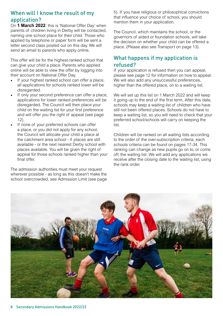#### <span id="page-7-0"></span>When will I know the result of my application?

On **1 March 2022**: this is 'National Offer Day' when parents of children living in Derby will be contacted, naming one school place for their child. Those who applied by telephone or paper form will be sent a letter second class posted out on this day. We will send an email to parents who apply online.

This offer will be for the highest-ranked school that can give your child a place. Parents who applied online will be able to view the offer by logging into their account on National Offer Day.

- If your highest ranked school can offer a place, all applications for schools ranked lower will be disregarded.
- If only your second preference can offer a place, applications for lower ranked preferences will be disregarded. The Council will then place your child on the waiting list for your first preference and will offer you the right of appeal (see page 12).
- If none of your preferred schools can offer a place, or you did not apply for any school, the Council will allocate your child a place at the catchment area school - if places are still available - or the next nearest Derby school with places available. You will be given the right of appeal for those schools ranked higher than your final offer.

The admission authorities must meet your request wherever possible - as long as this doesn't make the school overcrowded, see Admission Limit (see page 5). If you have religious or philosophical convictions that influence your choice of school, you should mention them in your application.

The Council, which maintains the school, or the governors of aided or foundation schools, will take the decision on whether your child can be offered a place. (Please also see Transport on page 13).

#### What happens if my application is refused?

If your application is refused then you can appeal, please see page 12 for information on how to appeal. We will also add any unsuccessful preferences, higher than the offered place, on to a waiting list.

We will set up this list on 1 March 2022 and will keep it going up to the end of the first term. After this date, schools may keep a waiting list of children who have still not been offered places. Schools do not have to keep a waiting list, so you will need to check that your preferred school/schools will carry on keeping the list.

Children will be ranked on all waiting lists according to the order of the over-subscription criteria, each schools criteria can be found on pages 17-34. This ranking can change as new pupils go on to, or come off, the waiting list. We will add any applications we receive after the closing date to the waiting list, using the rank order.

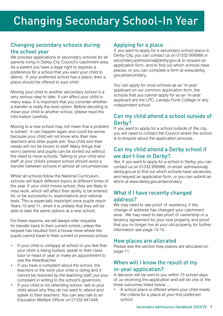#### <span id="page-8-0"></span>Changing secondary schools during the school year

We process applications to secondary schools for all parents living in Derby City Council's catchment area. As a parent you have a legal right to express a preference for a school that you want your child to attend. If your preferred school has a place, then a place should be offered to your child.

Moving your child to another secondary school is a very serious step to take. It can affect your child in many ways. It is important that you consider whether a transfer is really the best option. Before deciding to move your child to another school, please read this information carefully.

Moving to a new school may not mean that a problem is solved - it can happen again and could be worse because your child will not know who their new teachers and other pupils are. Your child and their needs will not be known to staff. Many things that worry parents and pupils can be sorted out without the need to move schools. Talking to your child and staff at your child's present school should avoid a transfer between schools in almost all circumstances.

Whilst all schools follow the National Curriculum schools will teach different topics at different times of the year. If your child moves school, they are likely to miss work, which will affect their ability to be entered for, or be successful in, examinations and national tests. This is especially important once pupils reach Years 10 and 11, when it is unlikely that they will be able to take the same options at a new school.

For these reasons, we will always refer requests for transfer back to their current school, unless the request has resulted from a house move where the pupils cannot travel to their current or previous school.

- If your child is unhappy at school or you feel that your child is being bullied, speak to their class tutor or head of year or make an appointment to see the Headteacher.
- If you have a complaint about the school, the teachers or the work your child is doing and it cannot be resolved by the teaching staff, put your complaint in writing to the school's governors.
- If your child is not attending school, talk to your child about why they do not want to attend and speak to their teachers. You can also talk to an Education Welfare Officer on 01332 641448.

#### Applying for a place

If you want to apply for a secondary school place in Derby City, you can contact us on 01332 956988 or secondary.admissions@derby.gov.uk to request an application form, and to find out which schools have places, or you can complete a form at [www.derby.](www.derby) gov.uk/secondary.

You can apply for most schools as an 'in-year' applicant on our common application form, the schools that you cannot apply for as an 'in-year' applicant are the UTC, Landau Forte College or any independent school

#### Can my child attend a school outside of Derby?

If you want to apply for a school outside of the city you will need to contact the Council where the school is to enquire about the application process.

#### Can my child attend a Derby school if we don't live in Derby?

Yes, if you want to apply for a school in Derby, you can contact us on 01332 956988, or email: admissions@ derby.gov.uk to find out which schools have vacancies, and request an application form, or you can submit an eform at [www.derby.gov.uk/secondary.](www.derby.gov.uk/secondary)

#### What if I have recently changed address?

We may need to see proof of residency, if the change of address has changed your catchment area. We may need to see proof of ownership or a tenancy agreement for your new property and proof that you no longer live at your old property, for further information see page 14-15.

#### How places are allocated

Please see the section how places are allocated on page 11.

#### When will I know the result of my in-year application?

A decision will be sent to you within 15 school days of us receiving the application and will be one of the three outcomes listed below ...

A school place is offered where your child meets the criteria for a place at your first preferred school.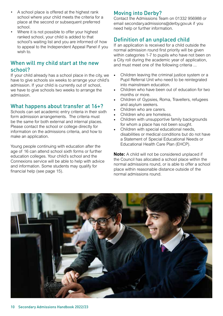- <span id="page-9-0"></span>• A school place is offered at the highest rank school where your child meets the criteria for a place at the second or subsequent preferred school.
- Where it is not possible to offer your highest ranked school, your child is added to that school's waiting list and you are informed of how to appeal to the Independent Appeal Panel if you wish to.

#### When will my child start at the new school?

If your child already has a school place in the city, we have to give schools six weeks to arrange your child's admission. If your child is currently out of school, we have to give schools two weeks to arrange the admission.

#### What happens about transfer at 16+?

Schools can set academic entry criteria in their sixth form admission arrangements. The criteria must be the same for both external and internal places. Please contact the school or college directly for information on the admissions criteria, and how to make an application.

Young people continuing with education after the age of 16 can attend school sixth forms or further education colleges. Your child's school and the Connexions service will be able to help with advice and information. Some students may qualify for financial help (see page 15).

## Moving into Derby?

Contact the Admissions Team on 01332 956988 or email secondary.admissions@derby.gov.uk if you need help or further information.

#### Definition of an unplaced child

If an application is received for a child outside the normal admission round first priority will be given within categories 1-7 to pupils who have not been on a City roll during the academic year of application, and must meet one of the following criteria ...

- Children leaving the criminal justice system or a Pupil Referral Unit who need to be reintegrated into mainstream education.
- Children who have been out of education for two months or more.
- Children of Gypsies, Roma, Travellers, refugees and asylum seekers.
- Children who are carers.
- Children who are homeless.
- Children with unsupportive family backgrounds for whom a place has not been sought.
- Children with special educational needs, disabilities or medical conditions but do not have a Statement of Special Educational Needs or Educational Health Care Plan (EHCP).

**Note:** A child will not be considered unplaced if the Council has allocated a school place within the normal admissions round, or is able to offer a school place within reasonable distance outside of the normal admissions round.

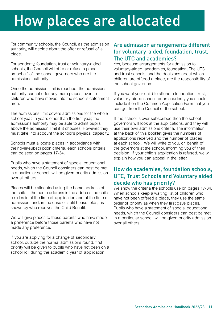## <span id="page-10-0"></span>How places are allocated

For community schools, the Council, as the admission authority, will decide about the offer or refusal of a place.

For academy, foundation, trust or voluntary-aided schools, the Council will offer or refuse a place on behalf of the school governors who are the admissions authority.

Once the admission limit is reached, the admissions authority cannot offer any more places, even to children who have moved into the school's catchment area.

The admissions limit covers admissions for the whole school year. In years other than the first year, the admissions authority may be able to admit pupils above the admission limit if it chooses. However, they must take into account the school's physical capacity.

Schools must allocate places in accordance with their over-subscription criteria, each schools criteria can be seen on pages 17-34.

Pupils who have a statement of special educational needs, which the Council considers can best be met in a particular school, will be given priority admission over all others.

Places will be allocated using the home address of the child – the home address is the address the child resides in at the time of application and at the time of admission, and, in the case of split households, as shown by who receives the Child Benefit.

We will give places to those parents who have made a preference before those parents who have not made any preference.

If you are applying for a change of secondary school, outside the normal admissions round, first priority will be given to pupils who have not been on a school roll during the academic year of application.

#### Are admission arrangements different for voluntary-aided, foundation, trust, The UTC and academies?

Yes, because arrangements for admission to voluntary-aided, academies, foundation, The UTC and trust schools, and the decisions about which children are offered a place, are the responsibility of the school governors.

If you want your child to attend a foundation, trust, voluntary-aided school, or an academy you should include it on the Common Application Form that you can get from the Council or the school.

If the school is over-subscribed then the school governors will look at the applications, and they will use their own admissions criteria. The information at the back of this booklet gives the numbers of applications received and the number of places at each school. We will write to you, on behalf of the governors at the school, informing you of their decision. If your child's application is refused, we will explain how you can appeal in the letter.

#### How do academies, foundation schools, UTC, Trust Schools and Voluntary aided decide who has priority?

We show the criteria the schools use on pages 17-34. When schools keep a waiting list of children who have not been offered a place, they use the same order of priority as when they first gave places. Pupils who have a statement of special educational needs, which the Council considers can best be met in a particular school, will be given priority admission over all others.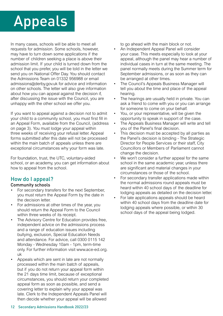## <span id="page-11-0"></span>Appeals

In many cases, schools will be able to meet all requests for admission. Some schools, however, may have to turn down some applications if the number of children seeking a place is above their admission limit. If your child is turned down from the school that you prefer, you will be told in the letter we send you on National Offer Day. You should contact the Admissions Team on 01332 956988 or email admissions@derby.gov.uk for advice and information on other schools. The letter will also give information about how you can appeal against the decision if, after discussing the issue with the Council, you are unhappy with the other school we offer you.

If you want to appeal against a decision not to admit your child to a community school, you must first fill in an Appeal Form, available from the Council, (address on page 3). You must lodge your appeal within three weeks of receiving your refusal letter. Appeal forms submitted after this date will not be processed within the main batch of appeals unless there are exceptional circumstances why your form was late.

For foundation, trust, the UTC, voluntary-aided school, or an academy, you can get information about how to appeal from the school.

## How do I appeal?

#### Community schools

- For secondary transfers for the next September, you must return the Appeal Form by the date in the decision letter.
- For admissions at other times of the year, you should return the Appeal Form to the Council within three weeks of its receipt.
- The Advisory Centre for Education provides free, independent advice on the admissions process and a range of education issues including bullying, exclusion, Special Education Needs and attendance. For advice, call 0300 0115 142 Monday - Wednesday 10am - 1pm, term-time only. For further information visit [www.ace-ed.org.](www.ace-ed.org) uk
- Appeals which are sent in late are not normally processed within the main batch of appeals, but if you do not return your appeal form within the 21 days time limit, because of exceptional circumstances, you should return your completed appeal form as soon as possible, and send a covering letter to explain why your appeal was late. Clerk to the Independent Appeals Panel will then decide whether your appeal will be allowed

to go ahead with the main block or not.

- An Independent Appeal Panel will consider your case. This meets especially to look at your appeal, although the panel may hear a number of individual cases in turn at the same meeting. The panel normally meets during the Summer term for September admissions, or as soon as they can be arranged at other times.
- The Council's Appeals Business Manager will tell you about the time and place of the appeal hearing.
- The hearings are usually held in private. You can ask a friend to come with you or you can arrange for someone to come on your behalf.
- You, or your representative, will be given the opportunity to speak in support of the case.
- The Appeals Business Manager will write and tell you of the Panel's final decision.
- This decision must be accepted by all parties as the Panel's decision is binding - The Strategic Director for People Services or their staff, City Councillors or Members of Parliament cannot change the decision.
- We won't consider a further appeal for the same school in the same academic year, unless there are significant and material changes in your circumstances or those of the school.
- For secondary transfer applications made within the normal admissions round appeals must be heard within 40 school days of the deadline for lodging appeals as detailed on the decision letter.
- For late applications appeals should be heard within 40 school days from the deadline date for lodging appeals where possible, or within 30 school days of the appeal being lodged.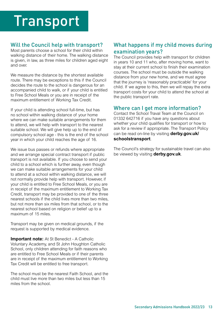#### <span id="page-12-0"></span>Will the Council help with transport?

Most parents choose a school for their child within walking distance of their home. The walking distance is given, in law, as three miles for children aged eight and over.

We measure the distance by the shortest available route. There may be exceptions to this if the Council decides the route to the school is dangerous for an accompanied child to walk, or if your child is entitled to Free School Meals or you are in receipt of the maximum entitlement of Working Tax Credit.

If your child is attending school full-time, but has no school within walking distance of your home where we can make suitable arrangements for them to attend, we will help with transport to the nearest suitable school. We will give help up to the end of compulsory school age - this is the end of the school year in which your child reaches the age of 16.

We issue bus passes or refunds where appropriate and we arrange special contract transport if public transport is not available. If you choose to send your child to a school which is further away, even though we can make suitable arrangements for your child to attend at a school within walking distance, we will not normally provide help with transport. However, if your child is entitled to Free School Meals, or you are in receipt of the maximum entitlement to Working Tax Credit, transport may be provided to one of the three nearest schools if the child lives more than two miles, but not more than six miles from that school, or to the nearest school based on religion or belief up to a maximum of 15 miles.

Transport may be given on medical grounds, if the request is supported by medical evidence.

**Important note:** At St Benedict - A Catholic Voluntary Academy, and St John Houghton Catholic School, only children attending for faith reasons who are entitled to Free School Meals or if their parents are in receipt of the maximum entitlement to Working Tax Credit will be entitled to free transport.

The school must be the nearest Faith School, and the child must live more than two miles but less than 15 miles from the school.

### What happens if my child moves during examination years?

The Council provides help with transport for children in years 10 and 11 who, after moving home, want to stay at their current school to finish their examination courses. The school must be outside the walking distance from your new home, and we must agree that the journey is 'reasonably practicable' for your child. If we agree to this, then we will repay the extra transport costs for your child to attend the school at the public transport rate.

#### Where can I get more information?

Contact the School Traval Team at the Council on 01332 642716 if you have any questions about whether your child qualifies for transport or how to ask for a review if appropriate. The Transport Policy can be read on-line by visiting **derby.gov.uk/ schoolstransport**.

The Council's strategy for sustainable travel can also be viewed by visiting **derby.gov.uk**.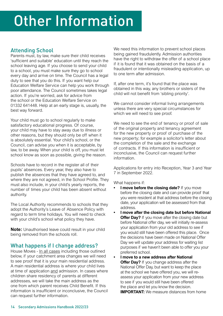#### <span id="page-13-0"></span>Attending School

Parents must, by law, make sure their child receives 'sufficient and suitable' education until they reach the school leaving age. If you choose to send your child to a school, you must make sure they go to school every day and arrive on time. The Council has a legal duty to see that you do this. If you want help our Education Welfare Service can help you work through poor attendance. The Council sometimes takes legal action. If you're worried, ask for advice from the school or the Education Welfare Service on 01332 641448. Help at an early stage is, usually, the best way forward.

Your child must go to school regularly to make satisfactory educational progress. Of course, your child may have to stay away due to illness or other reasons, but they should only be off when it is absolutely essential. Your child's school, or the Council, can advise you when it is acceptable, by law, to be away. When your child is off, you must let school know as soon as possible, giving the reason.

Schools have to record in the register all of their pupils' absences. Every year, they also have to publish the absences that they have agreed to, and where they are not agreed, in the School Profile. They must also include, in your child's yearly reports, the number of times your child has been absent without authority.

The Local Authority recommends to schools that they adopt the Authority's Leave of Absence Policy with regard to term time holidays. You will need to check with your child's school what policy they have.

**Note:** Unauthorised leave could result in your child being removed from the schools roll.

### What happens if I change address?

House Moves - In all cases including those outlined below, if your catchment area changes we will need to see proof that it is your main residential address. A main residential address is where your child lives at time of application and admission. In cases where children share residency of parents at different addresses, we will take the main address as the one from which parent receives Child Benefit. If this information is insufficient or inconclusive, the Council can request further information.

We need this information to prevent school places being gained fraudulently. Admission authorities have the right to withdraw the offer of a school place if it is found that it was obtained on the basis of a fraudulent or intentionally misleading application, up to one term after admission.

If, after one term, it's found that the place was obtained in this way, any brothers or sisters of the child will not benefit from 'sibling priority'.

We cannot consider informal living arrangements unless there are very special circumstances for which we will need to see proof.

We need to see the end of tenancy or proof of sale of the original property and tenancy agreement for the new property or proof of purchase of the new property; for example a solicitor's letter about the completion of the sale and the exchange of contracts. If this information is insufficient or inconclusive, the Council can request further information.

Applications for entry into Reception, Year 3 and Year 7 in September 2022.

What happens if:

- **I move before the closing date?** If you move before the closing date and can provide proof that you were resident at that address before the closing date, your application will be assessed from that address.
- **I move after the closing date but before National Offer Day?** If you move after the closing date but before National offer day, we will initially re-assess your application from your old address to see if you would still have been offered this place. Once the decisions have been made on National Offer Day we will update your address for waiting list purposes if we haven't been able to offer you your preferred school.
- the place and let you know the decision. **• I move to a new address after National Offer Day?** If you change address after the National Offer Day, but want to keep the place at the school we have offered you, we will reassess your application from your new address to see if you would still have been offered **IMPORTANT:** We measure distances from home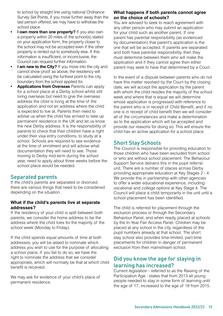<span id="page-14-0"></span>to school by straight line using national Ordnance Survey Set Points, if you move further away than the last person offered, we may have to withdraw the school place.

- **I own more than one property?** If you also own a property within 20 miles of the school(s) stated on your application form, the property closer to the school may not be accepted even if the other property is rented out to somebody else. If this information is insufficient, or inconclusive, the Council can request further information.
- **I am new to the City?** If you move into the city and cannot show proof as above, the residency will be calculated using the furthest point to the city boundary from the school applied for.
- **Applications from Overseas** Parents can apply for a school place at a Derby school whilst still living overseas but need to give the overseas address the child is living at the time of the application and not an address where the child is expected to live at. Parents then need to advise us when the child has arrived to take up permanent residence in the UK and let us know the new Derby address. It is the responsibility of parents to check that their children have a right under their visa entry conditions, to study at a school. Schools are required to see evidence at the time of enrolment and will advise what documentation they will need to see. Those moving to Derby mid-term during the school year, need to apply about three weeks before the school place would be needed.

#### Separated parents

If the child's parents are separated or divorced, there are various things that need to be considered depending on the situation.

#### **What if the child's parents live at separate addresses?**

If the residency of your child is split between both parents, we consider the home address to be the address where the child lives for the majority of the school week (Monday to Friday).

If the child spends equal amounts of time at both addresses, you will be asked to nominate which address you wish to use for the purpose of allocating a school place. If you fail to do so, we have the right to nominate the address that we consider appropriate, which will normally be that at which child benefit is received.

We may ask for evidence of your child's place of permanent residence.

#### **What happens if both parents cannot agree on the choice of schools?**

You are advised to seek to reach agreement with any other person who may submit an application for your child such as another parent. If one parent has parental responsibility (as evidenced by documentation) that parent's application is the one that will be accepted. If parents are separated and both have parental responsibility, then they must determine between them who will make the application and if they cannot agree then either parent may seek to have that determined by a Court.

In the event of a dispute between parents who do not have this matter resolved by the Court by the closing date, we will accept the application by the parent with whom the child resides the majority of the school week and where that is equal we will determine whose application is progressed with reference to the parent who is in receipt of Child Benefit, and if no one is in receipt of child benefit then we will consider all of the circumstances and make a determination as to the application which will be accepted and provide our reasons for doing so. This will ensure the child has an active application for a school place.

#### Short Stay Schools

The Council is responsible for providing education to those children who have been excluded from school or who are without school placement. The Behaviour Support Service delivers this in the pupil referral unit. There are a number of places across Derby providing appropriate education at Key Stages 2 - 4. We provide this in partnership with other agencies to offer a wider educational experience, including vocational and college options at Key Stage 4. The Council will place a child temporarily in the unit until a school placement has been identified.

The child is referred for placement through the exclusion process or through the Secondary Behaviour Panel, and when ready, placed at schools by the In-Year Fair Access Panel. Children may be placed at any school in the city, regardless of the pupil numbers already at that school. The short stay school also provides time-limited, part-time placements for children in danger of permanent exclusion from their mainstream school.

#### Did you know the age for staying in learning has increased?

Current legislation - referred to as the Raising of the Participation Age - states that from 2013 all young people needed to stay in some form of learning until the age of 17, increased to the age of 18 from 2015.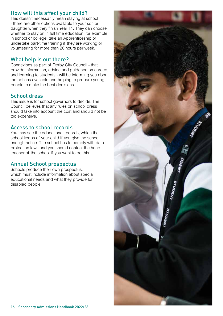#### How will this affect your child?

This doesn't necessarily mean staying at school - there are other options available to your son or daughter when they finish Year 11. They can choose whether to stay on in full time education, for example in school or college, take an Apprenticeship or undertake part-time training if they are working or volunteering for more than 20 hours per week.

#### What help is out there?

Connexions as part of Derby City Council - that provide information, advice and guidance on careers and learning to students - will be informing you about the options available and helping to prepare young people to make the best decisions.

#### School dress

This issue is for school governors to decide. The Council believes that any rules on school dress should take into account the cost and should not be too expensive.

#### Access to school records

You may see the educational records, which the school keeps of your child if you give the school enough notice. The school has to comply with data protection laws and you should contact the head teacher of the school if you want to do this.

#### Annual School prospectus

Schools produce their own prospectus, which must include information about special educational needs and what they provide for disabled people.

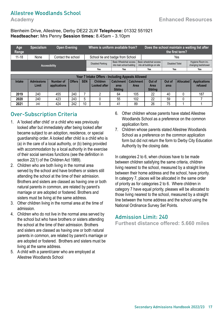#### Allestree Woodlands School

#### Blenheim Drive, Allestree, Derby DE22 2LW **Telephone:** 01332 551921 **Headteacher:** Mrs Penny **Session times:** 8.45am - 3.10pm

| Age<br>Range  | <b>Specialism</b> | <b>Open Evening</b>  |        |            | Where is uniform available from?                 |                                                      |                  |  |                                                       |                        | the first term?  | Does the school maintain a waiting list after |
|---------------|-------------------|----------------------|--------|------------|--------------------------------------------------|------------------------------------------------------|------------------|--|-------------------------------------------------------|------------------------|------------------|-----------------------------------------------|
| $11 - 18$     | None              | Contact the school   |        |            | School tie and badge from School                 |                                                      |                  |  |                                                       |                        | Yes              |                                               |
|               |                   | <b>Accessibility</b> |        |            | Disabled Parking                                 | Basic Wheelchair access<br>into main school building |                  |  | Basic wheelchair access<br>into all buildings on site | <b>Disabled Toilet</b> |                  | Hygiene Room inc.<br>changing bed/shower      |
|               |                   |                      |        |            | Yes<br>Yes<br>Yes<br>Yes                         |                                                      |                  |  |                                                       |                        | Yes              |                                               |
|               |                   |                      |        |            |                                                  |                                                      |                  |  |                                                       |                        |                  |                                               |
|               |                   |                      |        |            | Year 7 Intake Offers - Including Appeals Allowed |                                                      |                  |  |                                                       |                        |                  |                                               |
| <b>Intake</b> | <b>Admissions</b> | Number of            | Offers | <b>SEN</b> | <b>Children</b>                                  | <b>Catchment</b>                                     | <b>Catchment</b> |  | Out of                                                | Out of                 | <b>Allocated</b> | <b>Applications</b>                           |
|               | Limit             | applications         |        |            | <b>Looked after</b>                              | area                                                 | <b>Area</b>      |  | Area                                                  | area                   |                  | refused                                       |
|               |                   |                      |        |            |                                                  | <b>Sibling</b>                                       |                  |  | <b>Sibling</b>                                        |                        |                  |                                               |
| 2019          | 240               | 455                  | 240    |            | ŋ                                                | 64                                                   | 105              |  | 22                                                    | 40                     |                  | 187                                           |
| 2020          | 240               | 423                  | 243    | 5          |                                                  | 55                                                   | 102              |  | 22                                                    | 59                     |                  |                                               |

**2021 |** 240 | 424 |242 | 10 | 0 | 41 | 89 | 26 | 75 | 1 | 1

#### Over-Subscription Criteria

- 1. A 'looked after child' or a child who was previously looked after but immediately after being looked after became subject to an adoption, residence, or special guardianship order. A looked after child is a child who is (a) in the care of a local authority, or (b) being provided with accommodation by a local authority in the exercise of their social services functions (see the definition in section 22(1) of the Children Act 1989).
- 2. Children who are both living in the normal area served by the school and have brothers or sisters still attending the school at the time of their admission. Brothers and sisters are classed as having one or both natural parents in common, are related by parent's marriage or are adopted or fostered. Brothers and sisters must be living at the same address.
- 3. Other children living in the normal area at the time of admission.
- 4. Children who do not live in the normal area served by the school but who have brothers or sisters attending the school at the time of their admission. Brothers and sisters are classed as having one or both natural parents in common, are related by parent's marriage or are adopted or fostered. Brothers and sisters must be living at the same address.
- 5. A child with a parent/carer who are employed at Allestree Woodlands School
- 6. Other children whose parents have stated Allestree Woodlands School as a preference on the common application form.
- 7. Children whose parents stated Allestree Woodlands School as a preference on the common application form but did not return the form to Derby City Education Authority by the closing date.

In categories 2 to 6, when choices have to be made between children satisfying the same criteria, children living nearest to the school, measured by a straight line between their home address and the school, have priority. In category 7, places will be allocated in the same order of priority as for categories 2 to 6. Where children in category 7 have equal priority, pleases will be allocated to those living nearest to the school, measured by a straight line between the home address and the school using the National Ordinance Survey Set Points.

#### Admission Limit: 240

**Furthest distance offered: 5.660 miles**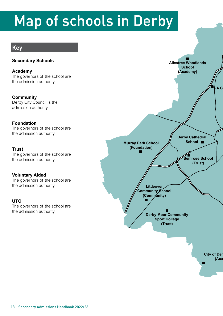## Map of schools in Derby

## **Key**

#### **Secondary Schools**

**Academy**  The governors of the school are the admission authority

**Community**  Derby City Council is the admission authority

#### **Foundation**

The governors of the school are the admission authority

#### **Trust**

The governors of the school are the admission authority

#### **Voluntary Aided**

The governors of the school are the admission authority

#### **UTC**

The governors of the school are the admission authority

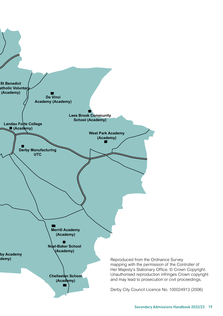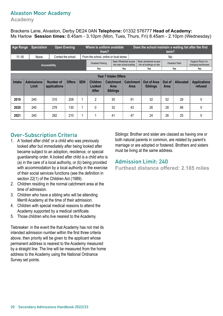#### Alvaston Moor Academy

**Academy** 

Brackens Lane, Alvaston, Derby DE24 0AN **Telephone:** 01332 576777 **Head of Academy:**  Ms Harlow **Session times:** 8.45am - 3.10pm (Mon, Tues, Thurs, Fri) 8.45am - 2.10pm (Wednesday)

| Age Range     | <b>Specialism</b>          |                           | <b>Open Evening</b> |            | Where is uniform available                                                               | from? |    |                                                             | Does the school maintain a waiting list after the first | term?                 |                        |                                          |
|---------------|----------------------------|---------------------------|---------------------|------------|------------------------------------------------------------------------------------------|-------|----|-------------------------------------------------------------|---------------------------------------------------------|-----------------------|------------------------|------------------------------------------|
| $11 - 16$     | None                       |                           | Contact the school  |            | From the school, online or local stores                                                  |       |    |                                                             |                                                         | No                    |                        |                                          |
|               |                            | Accessibility             |                     |            | <b>Disabled Parking</b>                                                                  |       |    | <b>Basic Wheelchair access</b><br>into main school building | Basic wheelchair access<br>into all buildings on site   |                       | <b>Disabled Toilet</b> | Hygiene Room inc.<br>changing bed/shower |
|               |                            |                           |                     |            | Yes<br>Yes                                                                               |       |    |                                                             | Yes                                                     |                       | Yes                    | Yes                                      |
|               |                            |                           |                     |            | <b>Year 7 Intake Offers</b>                                                              |       |    |                                                             |                                                         |                       |                        |                                          |
| <b>Intake</b> | <b>Admissions</b><br>Limit | Number of<br>applications | <b>Offers</b>       | <b>SEN</b> | <b>Children</b><br><b>Catchment</b><br>Looked<br><b>Area</b><br>After<br><b>Siblings</b> |       |    | <b>Catchment</b><br>Area                                    | Out of Area<br><b>Siblings</b>                          | Out of<br><b>Area</b> | <b>Allocated</b>       | <b>Applications</b><br>refused           |
| 2019          | 240                        | 310                       | 208                 |            | $\overline{2}$<br>30                                                                     |       | 91 | 32                                                          | 52                                                      | 28                    | 0                      |                                          |
| 2020          | 240                        | 278                       | 130                 |            | 32<br>$\mathbf{0}$                                                                       |       | 43 | 26                                                          | 28                                                      | 86                    | 0                      |                                          |
| 2021          | 240                        | 282                       | 210                 |            |                                                                                          |       | 41 | 47                                                          | 24                                                      | 26                    | 25                     | 0                                        |

#### Over-Subscription Criteria

- 1. A 'looked after child' or a child who was previously looked after but immediately after being looked after became subject to an adoption, residence, or special guardianship order. A looked after child is a child who is (a) in the care of a local authority, or (b) being provided with accommodation by a local authority in the exercise of their social services functions (see the definition in section 22(1) of the Children Act (1989).
- 2. Children residing in the normal catchment area at the time of admission.
- 3. Children who have a sibling who will be attending Merrill Academy at the time of their admission.
- 4. Children with special medical reasons to attend the Academy supported by a medical certificate.
- 5. Those children who live nearest to the Academy.

Tiebreaker: in the event the that Academy has not met its intended admission number within the first three criteria above, then priority will be given to the applicant whose permanent address is nearest to the Academy measured by a straight line. The line will be measured from the home address to the Academy using the National Ordnance Survey set points.

Siblings: Brother and sister are classed as having one or both natural parents in common, are related by parent's marriage or are adopted or fostered. Brothers and sisters must be living at the same address.

#### Admission Limit: 240

**Furthest distance offered: 2.185 miles**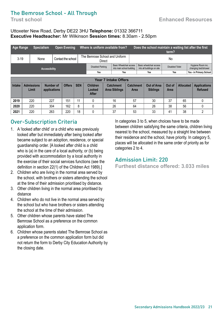## The Bemrose School - All Through

#### Uttoxeter New Road, Derby DE22 3HU **Telephone:** 01332 366711 **Executive Headteacher:** Mr Wilkinson **Session times:** 8.30am - 2.50pm

| <b>Age Range</b> |                            | <b>Specialism</b>         | <b>Open Evening</b> |                                                                                                                                                                                                  | Where is uniform available from? |        |                                                      |  |                                       | Does the school maintain a waiting list after the first | term?                  |    |                                          |
|------------------|----------------------------|---------------------------|---------------------|--------------------------------------------------------------------------------------------------------------------------------------------------------------------------------------------------|----------------------------------|--------|------------------------------------------------------|--|---------------------------------------|---------------------------------------------------------|------------------------|----|------------------------------------------|
| $3 - 19$         |                            | None                      | Contact the school  |                                                                                                                                                                                                  | The Bemrose School and Uniform   | Direct |                                                      |  |                                       |                                                         | No                     |    |                                          |
|                  |                            | <b>Accessibility</b>      |                     |                                                                                                                                                                                                  | Disabled Parking                 |        | Basic Wheelchair access<br>into main school building |  |                                       | Basic wheelchair access<br>into all buildings on site   | <b>Disabled Toilet</b> |    | Hygiene Room inc.<br>changing bed/shower |
|                  |                            |                           |                     |                                                                                                                                                                                                  | Yes<br>Yes                       |        |                                                      |  |                                       | Yes                                                     | <b>Yes</b>             |    | Yes - in Primary School                  |
|                  |                            |                           |                     |                                                                                                                                                                                                  | <b>Year 7 Intake Offers</b>      |        |                                                      |  |                                       |                                                         |                        |    |                                          |
| <b>Intake</b>    | <b>Admissions</b><br>Limit | Number of<br>applications | <b>Offers</b>       | <b>SEN</b><br><b>Children</b><br><b>Allocated</b><br><b>Catchment</b><br>Out of Area<br>Out of<br><b>Catchment</b><br><b>Area Siblings</b><br><b>Siblings</b><br>Looked<br>Area<br>Area<br>After |                                  |        |                                                      |  | <b>Applications</b><br><b>Refused</b> |                                                         |                        |    |                                          |
| 2019             | 220                        | 227                       | 151                 | 11                                                                                                                                                                                               | 16<br>0                          |        |                                                      |  | 57                                    | 30                                                      | 37                     | 65 |                                          |
| 2020             | 220                        | 304                       | 162                 | 8                                                                                                                                                                                                | 26<br>0                          |        |                                                      |  | 64                                    | 26                                                      | 38                     | 56 |                                          |
| 2021             | 220                        | 263                       | 220                 | 18                                                                                                                                                                                               | 0<br>37                          |        |                                                      |  | 53                                    | 33                                                      | 41                     | 38 | 2                                        |

## Over-Subscription Criteria

- 1. A 'looked after child' or a child who was previously looked after but immediately after being looked after became subject to an adoption, residence, or special guardianship order. [A looked after child is a child who is (a) in the care of a local authority, or (b) being provided with accommodation by a local authority in the exercise of their social services functions (see the definition in section 22(1) of the Children Act 1989).]
- 2. Children who are living in the normal area served by the school, with brothers or sisters attending the school at the time of their admission prioritised by distance.
- 3. Other children living in the normal area prioritised by distance
- 4. Children who do not live in the normal area served by the school but who have brothers or sisters attending the school at the time of their admission.
- 5. Other children whose parents have stated The Bemrose School as a preference on the common application form.
- 6. Children whose parents stated The Bemrose School as a preference on the common application form but did not return the form to Derby City Education Authority by the closing date.

In categories 3 to 5, when choices have to be made between children satisfying the same criteria, children living nearest to the school, measured by a straight line between their residence and the school, have priority. In category 5, places will be allocated in the same order of priority as for categories 2 to 4.

#### Admission Limit: 220

**Furthest distance offered: 3.033 miles**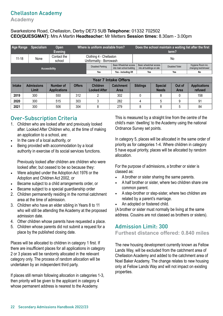### Chellaston Academy

**Academy** 

#### Swarkestone Road, Chellaston, Derby DE73 5UB **Telephone:** 01332 702502 **CEO(QUESGMAT):** Mrs A Martin **Headteacher:** Mr Metters **Session times:** 8.30am - 3.00pm

| Age Range     | <b>Specialism</b>          | Open<br><b>Evening</b>           |               | Where is uniform available from?                    |                                                      |                            |                                | term?                  | Does the school maintain a waiting list after the first |
|---------------|----------------------------|----------------------------------|---------------|-----------------------------------------------------|------------------------------------------------------|----------------------------|--------------------------------|------------------------|---------------------------------------------------------|
| $11 - 18$     | None                       | Contact the<br>school            |               | Clothing 4 - Chellaston<br>Uniformality - Borrowash |                                                      |                            |                                | No                     |                                                         |
|               |                            | <b>Accessibility</b>             |               | <b>Disabled Parking</b>                             | Basic Wheelchair access<br>into main school building | into all buildings on site | Basic wheelchair access        | <b>Disabled Toilet</b> | Hygiene Room inc.<br>changing bed/shower                |
|               |                            |                                  |               | Yes                                                 | Yes - including lift                                 | Yes                        |                                | Yes                    | No                                                      |
|               |                            |                                  |               |                                                     | <b>Year 7 Intake Offers</b>                          |                            |                                |                        |                                                         |
| <b>Intake</b> | <b>Admissions</b><br>Limit | Number of<br><b>Applications</b> | <b>Offers</b> | <b>Children</b><br><b>Looked After</b>              | <b>Catchment</b><br><b>Area</b>                      | <b>Siblings</b>            | <b>Special</b><br><b>Needs</b> | Out of<br><b>Area</b>  | <b>Applications</b><br>refused                          |
| 2019          | 300                        | 550                              | 312           | 2                                                   | 302                                                  | 0                          | 8                              | $\Omega$               | 158                                                     |
| 2020          | 300                        | 515                              | 303           | 3                                                   | 282                                                  | 4                          | 5                              | 9                      | 91                                                      |
| 2021          | 300                        | 506                              | 304           | 8                                                   | 279                                                  | 8                          | 8                              | 5                      | 84                                                      |

### Over-Subscription Criteria

- 1. Children who are looked after and previously looked after. Looked After Children who, at the time of making an application to a school, are:
- In the care of a local authority, or
- Being provided with accommodation by a local authority in exercise of its social services functions.

Previously looked after children are children who were looked after, but ceased to be so because they:

- Were adopted under the Adoption Act 1976 or the Adoption and Children Act 2002, or
- Became subject to a child arrangements order, or
- Became subject to a special guardianship order
- 2. Children permanently residing in the normal catchment area at the time of admission.
- 3. Children who have an elder sibling in Years 8 to 11 who will still be attending the Academy at the proposed admission date.
- 4. Other children whose parents have requested a place.
- 5. Children whose parents did not submit a request for a place by the published closing date.

Places will be allocated to children in category 1 first. If there are insufficient places for all applications in category 2 or 3 places will be randomly allocated in the relevant category only. The process of random allocation will be undertaken by an independent third party.

If places still remain following allocation in categories 1-3, then priority will be given to the applicant in category 4 whose permanent address is nearest to the Academy.

This is measured by a straight line from the centre of the child's main 'dwelling' to the Academy using the national Ordnance Survey set points.

In category 5, places will be allocated in the same order of priority as for categories 1-4. Where children in category 5 have equal priority, places will be allocated by random allocation.

For the purpose of admissions, a brother or sister is classed as:

- A brother or sister sharing the same parents.
- A half brother or sister, where two children share one common parent.
- A step-brother or step-sister, where two children are related by a parent's marriage.
- An adopted or fostered child.

(A brother or sister must normally be living at the same address. Cousins are not classed as brothers or sisters).

#### Admission Limit: 300

#### **Furthest distance offered: 0.840 miles**

The new housing development currently known as Fellow Lands Way, will be excluded from the catchment area of Chellaston Academy and added to the catchment area of Noel Baker Academy. The change relates to new housing only at Fellow Lands Way and will not impact on existing properties.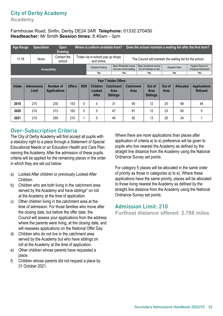## City of Derby Academy

**Academy** 

#### Farmhouse Road, Sinfin, Derby DE24 3AR **Telephone:** 01332 270450 **Headteacher:** Mr Smith **Session times:** 8.40am - 3pm

| Age Range     | <b>Specialism</b>          | Open<br><b>Evening</b>           |               |                             | Where is uniform available from?                                                                                                                                                                       |  |  |                                                             |  |                                                       |    |                                                           | Does the school maintain a waiting list after the first term? |
|---------------|----------------------------|----------------------------------|---------------|-----------------------------|--------------------------------------------------------------------------------------------------------------------------------------------------------------------------------------------------------|--|--|-------------------------------------------------------------|--|-------------------------------------------------------|----|-----------------------------------------------------------|---------------------------------------------------------------|
| $11 - 16$     | None                       | Contact the<br>school            |               |                             | Trutex via in-school pop up shops<br>and online                                                                                                                                                        |  |  |                                                             |  |                                                       |    | The Council will maintain the waiting list for the school |                                                               |
|               |                            | Accessibility                    |               |                             | <b>Disabled Parking</b>                                                                                                                                                                                |  |  | <b>Basic Wheelchair access</b><br>into main school building |  | Basic wheelchair access<br>into all buildings on site |    | <b>Disabled Toilet</b>                                    | Hygiene Room inc.<br>changing bed/shower                      |
|               |                            |                                  |               |                             | Yes                                                                                                                                                                                                    |  |  | Yes                                                         |  | Yes                                                   |    | Yes                                                       | Yes                                                           |
|               |                            |                                  |               | <b>Year 7 Intake Offers</b> |                                                                                                                                                                                                        |  |  |                                                             |  |                                                       |    |                                                           |                                                               |
| <b>Intake</b> | <b>Admissions</b><br>Limit | Number of<br><b>Applications</b> | <b>Offers</b> | <b>SEN</b>                  | <b>Children</b><br><b>Catchment</b><br>Out of<br><b>Allocated</b><br><b>Catchment</b><br>Out of<br>Looked<br>Area<br>Area<br><b>Area</b><br>Area<br><b>After</b><br><b>Siblings</b><br><b>Siblings</b> |  |  |                                                             |  | <b>Applications</b><br><b>Refused</b>                 |    |                                                           |                                                               |
| 2019          | 210                        | 230                              | 153           | 0                           | 31<br>0                                                                                                                                                                                                |  |  | 90                                                          |  | 12                                                    | 20 | 68                                                        | 84                                                            |
| 2020          | 210                        | 313                              | 163           | 0                           | $\Omega$<br>47                                                                                                                                                                                         |  |  | 81                                                          |  | 12                                                    | 23 | 60                                                        | 0                                                             |
| 2021          | 210                        | 259                              | 210           |                             | 0<br>46                                                                                                                                                                                                |  |  | 92                                                          |  | 13                                                    | 25 | 34                                                        |                                                               |

#### Over-Subscription Criteria

The City of Derby Academy will first accept all pupils with a statutory right to a place through a Statement of Special Educational Needs or an Education Health and Care Plan naming the Academy. After the admission of these pupils, criteria will be applied for the remaining places in the order in which they are set out below:

- a) Looked After children or previously Looked After Children.
- b) Children who are both living in the catchment area served by the Academy and have siblings\* on roll at the Academy at the time of application.
- c) Other children living in the catchment area at the time of admission. For those families who move after the closing date, but before the offer date, the Council will assess your applications from the address where the parents were living, at the closing date, and will reassess applications on the National Offer Day.
- d) Children who do not live in the catchment area served by the Academy but who have siblings on roll at the Academy at the time of application.
- e) Other children whose parents have requested a place.
- f) Children whose parents did not request a place by 31 October 2021.

Where there are more applications than places after application of criteria a) to e) preference will be given to pupils who live nearest the Academy as defined by the straight line distance from the Academy using the National Ordnance Survey set points.

For category f) places will be allocated in the same order of priority as those in categories a) to e). Where these applications have the same priority, places will be allocated to those living nearest the Academy as defined by the straight line distance from the Academy using the National Ordnance Survey set points.

#### Admission Limit: 210

**Furthest distance offered: 2.788 miles**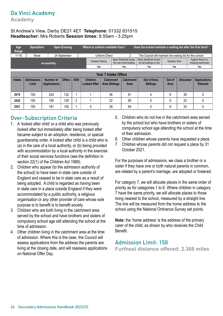## Da Vinci Academy

**Academy** 

#### St Andrew's View, Derby DE21 4ET **Telephone:** 01332 831515 **Headteacher:** Mrs Roberts **Session times:** 8.55am - 3.25pm

| Age<br>Range  | <b>Specialism</b>          |                                  | <b>Open Evening</b> |            | Where is uniform available from?       |                                          |  |                                                      |  | Does the school maintain a waiting list after the first term? |                        |                  |                                          |
|---------------|----------------------------|----------------------------------|---------------------|------------|----------------------------------------|------------------------------------------|--|------------------------------------------------------|--|---------------------------------------------------------------|------------------------|------------------|------------------------------------------|
| $11 - 16$     | None                       |                                  | 24 September        |            |                                        | <b>Uniform Direct</b>                    |  |                                                      |  | The Council will maintain the waiting list for this school    |                        |                  |                                          |
|               |                            | <b>Accessibility</b>             |                     |            | <b>Disabled Parking</b>                |                                          |  | Basic Wheelchair access<br>into main school building |  | Basic wheelchair access<br>into all buildings on site         | <b>Disabled Toilet</b> |                  | Hygiene Room inc.<br>changing bed/shower |
|               |                            |                                  |                     |            | Yes                                    |                                          |  | Yes                                                  |  | Yes                                                           | Yes                    |                  | Yes                                      |
|               |                            |                                  |                     |            |                                        |                                          |  |                                                      |  |                                                               |                        |                  |                                          |
|               |                            |                                  |                     |            | <b>Year 7 Intake Offers</b>            |                                          |  |                                                      |  |                                                               |                        |                  |                                          |
| <b>Intake</b> | <b>Admissions</b><br>Limit | Number of<br><b>Applications</b> | <b>Offers</b>       | <b>SEN</b> | <b>Children</b><br><b>Looked After</b> | <b>Catchment</b><br><b>Area Siblings</b> |  | <b>Catchment</b><br><b>Area</b>                      |  | Out of Area<br><b>Siblings</b>                                | Out of<br>Area         | <b>Allocated</b> | <b>Applications</b><br><b>Refused</b>    |
| 2019          | 150                        | 224                              | 132                 |            |                                        | 36                                       |  | 81                                                   |  | 4                                                             | 9                      | 35               | 0                                        |
| 2020          | 150                        | 190                              | 126                 | 2          |                                        | 32                                       |  | 80                                                   |  | 5                                                             | 6                      | 23               | $\Omega$                                 |
| 2021          | 150                        | 181                              | 150                 |            | 38<br>0                                |                                          |  | 64                                                   |  | 5                                                             | 9                      | 33               | $\Omega$                                 |

## Over-Subscription Criteria

- 1. A 'looked after child' or a child who was previously looked after but immediately after being looked after became subject to an adoption, residence, or special guardianship order. A looked after child is a child who is (a) in the care of a local authority, or (b) being provided with accommodation by a local authority in the exercise of their social services functions (see the definition in section 22(1) of the Children Act 1989).
- 2. Children who appear (to the admission authority of the school) to have been in state care outside of England and ceased to be in state care as a result of being adopted. A child is regarded as having been in state care in a place outside England if they were accommodated by a public authority, a religious organisation or any other provider of care whose sole purpose is to benefit is to benefit society.
- 3. Children who are both living in the catchment area served by the school and have brothers and sisters of compulsory school age still attending the school at the time of admission.
- 4. Other children living in the catchment area at the time of admission. Where this is the case, the Council will assess applications from the address the parents are living at the closing date, and will reassess applications on National Offer Day.
- 5. Children who do not live in the catchment area served by the school but who have brothers or sisters of compulsory school age attending the school at the time of their admission.
- 6. Other children whose parents have requested a place.
- 7. Children whose parents did not request a place by 31 October 2021.

For the purposes of admissions, we class a brother or a sister if they have one or both natural parents in common, are related by a parent's marriage, are adopted or fostered.

For category 7, we will allocate places in the same order of priority as for categories 1 to 6. Where children in category 7 have the same priority, we will allocate places to those living nearest to the school, measured by a straight line. The line will be measured from the home address to the school using the National Ordnance Survey set points.

**Note:** the 'home address' is the address of the primary carer of the child, as shown by who receives the Child **Benefit** 

#### Admission Limit: 150

**Furthest distance offered: 2.368 miles**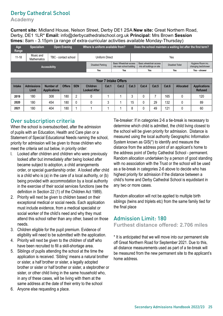## Derby Cathedral School

**Academy** 

**Current site:** Midland House, Nelson Street, Derby DE1 2SA **New site:** Great Northern Road, Derby, DE1 1LR\* **Email:** info@derbycathedralschool.org.uk **Principal:** Mrs Brown **Session times:** 8am - 3.15pm (a range of extra-curricular activities available Monday-Thursday)

| Age<br>Range | <b>Specialism</b>               | <b>Open Evening</b>  | Where is uniform available from? |                                                             | Does the school maintain a waiting list after the first term? |                        |                                          |
|--------------|---------------------------------|----------------------|----------------------------------|-------------------------------------------------------------|---------------------------------------------------------------|------------------------|------------------------------------------|
| $11 - 18$    | Music and<br><b>Mathematics</b> | TBC - contact school | Uniform Direct                   |                                                             |                                                               | Yes                    |                                          |
|              |                                 | <b>Accessibility</b> | <b>Disabled Parking</b>          | <b>Basic Wheelchair access</b><br>into main school building | Basic wheelchair access<br>into all buildings on site         | <b>Disabled Toilet</b> | Hygiene Room inc.<br>changing bed/shower |
|              |                                 |                      | Yes                              | Yes                                                         | Yes                                                           | Yes                    | Yes - shower                             |

|        |                            |                                  |               |            |                                        | <b>Year 7 Intake Offers</b> |       |         |       |       |       |                  |                                       |
|--------|----------------------------|----------------------------------|---------------|------------|----------------------------------------|-----------------------------|-------|---------|-------|-------|-------|------------------|---------------------------------------|
| Intake | <b>Admissions</b><br>Limit | Number of<br><b>Applications</b> | <b>Offers</b> | <b>SEN</b> | <b>Children</b><br><b>Looked After</b> | Cat.1                       | Cat.2 | Cat.3   | Cat.4 | Cat.5 | Cat.6 | <b>Allocated</b> | <b>Applications</b><br><b>Refused</b> |
| 2019   | 180                        | 308                              | 180           | റ          |                                        |                             |       | n       |       |       | 165   |                  | 120                                   |
| 2020   | 180                        | 454                              | 180           |            |                                        | 3                           |       | 15      |       | 29    | 132   |                  | 89                                    |
| 2021   | 180                        | 404                              | 180           |            |                                        |                             |       | $\circ$ |       | 49    | 121   |                  | 60                                    |

#### Over subscription criteria

When the school is oversubscribed, after the admission of pupils with an Education, Health and Care plan or a Statement of Special Educational Needs naming the school, priority for admission will be given to those children who meet the criteria set out below, in priority order:

- l. Looked after children and children who were previously looked after but immediately after being looked after became subject to adoption, a child arrangements order, or special guardianship order. A looked after child is a child who is (a) in the care of a local authority, or (b) being provided with accommodation by a local authority in the exercise of their social services functions (see the definition in Section 22 (1) of the Children Act 1989).
- 2. Priority will next be given to children based on their exceptional medical or social needs. Each application must include evidence, from a medical specialist or social worker of the child's need and why they must attend this school rather than any other, based on those needs.
- 3. Children eligible for the pupil premium. Evidence of eligibility will need to be submitted with the application.
- 4. Priority will next be given to the children of staff who have been recruited to fill a skill-shortage area.
- 5. Siblings of pupils attending the school at the time the application is received. 'Sibling' means a natural brother or sister, a half brother or sister, a legally adopted brother or sister or half brother or sister, a stepbrother or sister, or other child living in the same household who, in any of these cases, will be living with them at the same address at the date of their entry to the school
- 6. Anyone else requesting a place.

Tie-breaker: If in categories 2-6 a tie-break is necessary to determine which child is admitted, the child living closest to the school will be given priority for admission. Distance is measured using the local authority Geographic Information System known as GIS(\*) to identify and measure the distance from the address point of an applicant's home to the address point of Derby Cathedral School - permanent. Random allocation undertaken by a person of good standing with no association with the Trust or the school will be used as a tie-break in categories 2-6 above to decide who has highest priority for admission if the distance between a child's home and Derby Cathedral School is equidistant in any two or more cases.

Random allocation will not be applied to multiple birth siblings (twins and triplets etc) from the same family tied for the final place

#### Admission Limit: 180 **Furthest distance offered: 2.706 miles**

\* It is anticipated that we will move into our permanent site off Great Northern Road for September 2021. Due to this, all distance measurements used as part of a tie-break will be measured from the new permanent site to the applicant's home address.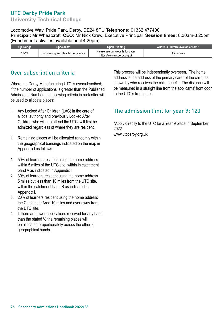## UTC Derby Pride Park

**University Technical College** 

#### Locomotive Way, Pride Park, Derby, DE24 8PU **Telephone:** 01332 477400 **Principal:** Mr Wheatcroft **CEO:** Mr Nick Crew, Executive Principal **Session times:** 8.30am-3.25pm (Enrichment activities available until 4.20pm)

| Aɑe Ranɑe | opecialism.                         | Open Evening                                                    | Where is uniform available from? |
|-----------|-------------------------------------|-----------------------------------------------------------------|----------------------------------|
| 13-19     | Engineering and Health Life Science | Please see our website for dates<br>https://www.utcderby.org.uk | Uniformalitv                     |

### Over subscription criteria

Where the Derby Manufacturing UTC is oversubscribed; if the number of applications is greater than the Published Admissions Number, the following criteria in rank offer will be used to allocate places:

- l. Any Looked After Children (LAC) in the care of a local authority and previously Looked After Children who wish to attend the UTC, will first be admitted regardless of where they are resident.
- ll. Remaining places will be allocated randomly within the geographical bandings indicated on the map in Appendix l as follows:
- 1. 50% of learners resident using the home address within 5 miles of the UTC site, within in catchment band A as indicated in Appendix l.
- 2. 30% of learners resident using the home address 5 miles but less than 10 miles from the UTC site, within the catchment band B as indicated in Appendix l.
- 3. 20% of learners resident using the home address the Catchment Area 10 miles and over away from the UTC site.
- 4. If there are fewer applications received for any band than the stated % the remaining places will be allocated proportionately across the other 2 geographical bands.

This process will be independently overseen. The home address is the address of the primary carer of the child, as shown by who receives the child benefit. The distance will be measured in a straight line from the applicants' front door to the UTC's front gate.

#### The admission limit for year 9: 120

\*Apply directly to the UTC for a Year 9 place in September 2022.

<www.utcderby.org.uk>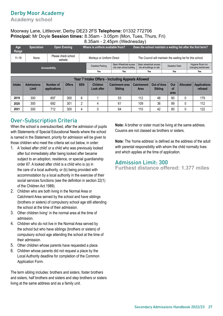### Derby Moor Academy

**Academy school** 

#### Moorway Lane, Littleover, Derby DE23 2FS **Telephone:** 01332 772706 **Principal:** Mr Doyle **Session times:** 8.35am - 3.05pm (Mon, Tues, Thurs, Fri) 8.35am - 2.45pm (Wednesday)

|              |                            |                                  |                                |            | Where is uniform available from?                 |  |                                                             |                                                       |                                                            |                        |                  |                                                               |
|--------------|----------------------------|----------------------------------|--------------------------------|------------|--------------------------------------------------|--|-------------------------------------------------------------|-------------------------------------------------------|------------------------------------------------------------|------------------------|------------------|---------------------------------------------------------------|
| Age<br>Range | <b>Specialism</b>          |                                  | <b>Open Evening</b>            |            |                                                  |  |                                                             |                                                       |                                                            |                        |                  | Does the school maintain a waiting list after the first term? |
| $11 - 19$    | None                       |                                  | Please check school<br>website |            | Morleys or Uniform Direct                        |  |                                                             |                                                       | The Council will maintain the waiting list for this school |                        |                  |                                                               |
|              |                            | Accessibility                    |                                |            | <b>Disabled Parking</b>                          |  | <b>Basic Wheelchair access</b><br>into main school building | Basic wheelchair access<br>into all buildings on site |                                                            | <b>Disabled Toilet</b> |                  | Hygiene Room inc.<br>changing bed/shower                      |
|              |                            |                                  |                                |            | Yes<br>Yes                                       |  |                                                             |                                                       | Yes                                                        | Yes                    |                  | Yes                                                           |
|              |                            |                                  |                                |            |                                                  |  |                                                             |                                                       |                                                            |                        |                  |                                                               |
|              |                            |                                  |                                |            | Year 7 Intake Offers - Including Appeals Allowed |  |                                                             |                                                       |                                                            |                        |                  |                                                               |
| Intake       | <b>Admissions</b><br>Limit | <b>Number of</b><br>applications | <b>Offers</b>                  | <b>SEN</b> | <b>Children</b><br>Look after                    |  | <b>Catchment area</b><br><b>Sibling</b>                     | <b>Catchement</b><br><b>Area</b>                      | Out of Area<br><b>Sibling</b>                              | Out<br>οf<br>area      | <b>Allocated</b> | <b>Applications</b><br>refused                                |
| 2019         | 300                        | 697                              | 300                            | 6          |                                                  |  | 53                                                          | 112                                                   | 48                                                         | 80                     | $\Omega$         | 179                                                           |
| 2020         | 300                        | 692                              | 301                            | 2          | 4                                                |  | 61                                                          | 109                                                   | 36                                                         | 89                     |                  | 112                                                           |
| 2021         | 300                        | 712                              | 300                            | 4          |                                                  |  | 64                                                          | 110                                                   | 42                                                         | 80                     |                  | 122                                                           |

### Over-Subscription Criteria

When the school is oversubscribed, after the admission of pupils with Statements of Special Educational Needs where the school is named in the Statement, priority for admission will be given to those children who meet the criteria set out below, in order:

- 1. A 'looked after child' or a child who was previously looked after but immediately after being looked after became subject to an adoption, residence, or special guardianship order 67. A looked after child is a child who is (a) in the care of a local authority, or (b) being provided with accommodation by a local authority in the exercise of their social services functions (see the definition in section 22(1) of the Children Act 1989).
- 2. Children who are both living in the Normal Area or Catchment Area served by the school and have siblings (brothers or sisters) of compulsory school age still attending the school at the time of their admission.
- 3. Other children living<sup>1</sup> in the normal area at the time of admission.
- 4. Children who do not live in the Normal Area served by the school but who have siblings (brothers or sisters) of compulsory school age attending the school at the time of their admission.
- 5. Other children whose parents have requested a place.
- 6. Children whose parents did not request a place by the Local Authority deadline for completion of the Common Application Form.

The term sibling includes: brothers and sisters, foster brothers and sisters, half brothers and sisters and step brothers or sisters living at the same address and as a family unit.

**Note:** A brother or sister must be living at the same address. Cousins are not classed as brothers or sisters.

**Note:** The 'home address' is defined as the address of the adult with parental responsibility with whom the child normally lives and which applies at the time of application.

#### Admission Limit: 300

**Furthest distance offered: 1.377 miles**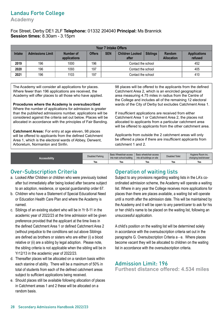## Landau Forte College

**Academy** 

#### Fox Street, Derby DE1 2LF **Telephone:** 01332 204040 **Principal:** Ms Brannick **Session times:** 8.30am - 3.15pm

|               |                         |                                          |               | <b>Year 7 Intake Offers</b> |                                 |                 |                             |                                |  |  |  |  |
|---------------|-------------------------|------------------------------------------|---------------|-----------------------------|---------------------------------|-----------------|-----------------------------|--------------------------------|--|--|--|--|
| <b>Intake</b> | <b>Admissions Limit</b> | Number of<br>applications                | <b>Offers</b> | <b>SEN</b>                  | <b>Children Looked</b><br>after | <b>Siblings</b> | Random<br><b>Allocation</b> | <b>Applications</b><br>refused |  |  |  |  |
| 2019          | 196                     | 196<br>1000<br>452<br>Contact the school |               |                             |                                 |                 |                             |                                |  |  |  |  |
| 2020          | 196                     | 1093                                     | 197           |                             | Contact the school              |                 | 405                         |                                |  |  |  |  |
| 2021          | 196                     | 1103                                     | 197           |                             | Contact the school              |                 |                             | 410                            |  |  |  |  |

The Academy will consider all applications for places. Where fewer than 196 applications are received, the Academy will offer places to all those who have applied.

**Procedures where the Academy is oversubscribed**  Where the number of applications for admission is greater than the published admissions number, applications will be considered against the criteria set out below. Places will be allocated in accordance with the principles of Fair Banding.

**Catchment Areas:** For entry at age eleven, 98 places will be offered to applicants from the defined Catchment Area 1, which is the electoral wards of Abbey, Derwent, Arboretum, Normanton and Sinfin.

98 places will be offered to the applicants from the defined Catchment Area 2, which is an encircled geographical area measuring 4.75 miles in radius from the Centre of the College and includes all of the remaining 12 electoral wards of the City of Derby but excludes Catchment Area 1.

If insufficient applications are received from either Catchment Area 1 or Catchment Area 2, the places not allocated to applicants from a particular catchment area will be offered to applicants from the other catchment area.

Applicants from outside the 2 catchment areas will only be offered a place if there are insufficient applicants from catchment 1 and 2.

| <b>Accessibility</b> | Disabled Parking | Basic Wheelchair access<br>into main school building | Basic wheelchair access<br>into all buildings on site | <b>Disabled Toilet</b> | Hygiene Room inc.<br>changing bed/shower |
|----------------------|------------------|------------------------------------------------------|-------------------------------------------------------|------------------------|------------------------------------------|
|                      | Yes              | Yes                                                  | Yes                                                   | Yes                    | Yes                                      |

#### Over-Subscription Criteria

- a. Looked After Children or children who were previously looked after but immediately after being looked after became subject to an adoption, residence, or special guardianship order 67.
- b. Children who have a Statement of Special Educational Need or Education Health Care Plan and where the Academy is named.
- c. Siblings of an existing student who will be in Yr 8-11 in the academic year of 2022/23 at the time admission will be given preference provided that the applicant at the time lives in the defined Catchment Area 1 or defined Catchment Area 2 (without prejudice to the conditions set out above Siblings are defined as brothers or sisters who are either (i) a blood relative or (ii) are a sibling by legal adoption. Please note, the sibling criteria is not applicable when the sibling will be in Yr12/13 in the academic year of 2022/23.
- d. Thereafter places will be allocated on a random basis within each stanine of ability. There will be a maximum of 50% in total of students from each of the defined catchment areas subject to sufficient applications being received.
- e. Should places still be available following allocation of places in Catchment areas 1 and 2 these will be allocated on a random basis.

#### Operation of waiting lists

Subject to any provisions regarding waiting lists in the LA's coordinated admission scheme, the Academy will operate a waiting list. Where in any year the College receives more applications for places than there are places available, a waiting list will operate until a month after the admission date. This will be maintained by the Academy and it will be open to any parent/carer to ask for his or her child's name to be placed on the waiting list, following an unsuccessful application.

A child's position on the waiting list will be determined solely in accordance with the oversubscription criteria set out in the paragraphs G. Oversubscription Criteria a - e. Where places become vacant they will be allocated to children on the waiting list in accordance with the oversubscription criteria.

#### Admission Limit: 196 **Furthest distance offered: 4.534 miles**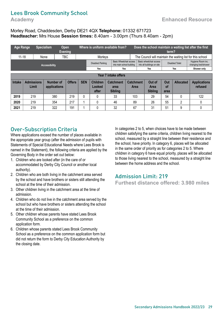## Lees Brook Community School

#### Morley Road, Chaddesden, Derby DE21 4QX **Telephone:** 01332 671723 **Headteacher:** Mrs House **Session times:** 8.40am - 3.00pm (Thurs 8.40am - 2pm)

| <b>Age Range</b>     |                            | <b>Specialism</b> | Open<br><b>Evening</b>           |               |            | Where is uniform available from?                      |                                                      |                                                       |                          | Does the school maintain a waiting list after the first<br>term? |                       |                        |                                          |                                |  |
|----------------------|----------------------------|-------------------|----------------------------------|---------------|------------|-------------------------------------------------------|------------------------------------------------------|-------------------------------------------------------|--------------------------|------------------------------------------------------------------|-----------------------|------------------------|------------------------------------------|--------------------------------|--|
| $11 - 18$            |                            | None              | TBC                              |               |            | Morleys                                               |                                                      |                                                       |                          | The Council will maintain the waiting list for this school       |                       |                        |                                          |                                |  |
|                      |                            | Accessibility     |                                  |               |            | <b>Disabled Parking</b>                               | Basic Wheelchair access<br>into main school building | Basic wheelchair access<br>into all buildings on site |                          |                                                                  |                       | <b>Disabled Toilet</b> | Hygiene Room inc.<br>changing bed/shower |                                |  |
|                      |                            |                   |                                  |               |            | Yes                                                   |                                                      | Yes                                                   |                          |                                                                  | Yes                   |                        | Yes                                      | Shower only                    |  |
| Year 7 intake offers |                            |                   |                                  |               |            |                                                       |                                                      |                                                       |                          |                                                                  |                       |                        |                                          |                                |  |
| <b>Intake</b>        | <b>Admissions</b><br>Limit |                   | <b>Number of</b><br>applications | <b>Offers</b> | <b>SEN</b> | <b>Children</b><br><b>Catchment</b><br>Looked<br>area |                                                      |                                                       | <b>Catchment</b><br>Area |                                                                  | Out of<br><b>Area</b> | Out<br>of              | <b>Allocated</b>                         | <b>Applications</b><br>refused |  |
|                      |                            |                   |                                  |               |            | after                                                 |                                                      | <b>Sibling</b>                                        |                          |                                                                  | <b>Sibling</b>        | area                   |                                          |                                |  |
| 2019                 | 219                        |                   | 380                              | 219           | $\Omega$   | 0                                                     |                                                      | 33                                                    | 103                      |                                                                  | 29                    | 54                     | 0                                        | 122                            |  |
| 2020                 | 219                        |                   | 354                              | 217           |            | 0                                                     |                                                      | 46                                                    | 89                       |                                                                  | 26                    | 55                     | 2                                        | 0                              |  |
| 2021                 | 219                        |                   | 322                              | 191           |            | 0                                                     |                                                      | 32                                                    | 67                       |                                                                  | 31                    | 51                     | 9                                        | 0                              |  |

#### Over-Subscription Criteria

Where applications exceed the number of places available in the appropriate year group (after the admission of pupils with Statements of Special Educational Needs where Lees Brook is named in the Statement), the following criteria are applied by the Governing Body in the order set out below:

- 1. Children who are looked after (in the care of or accommodated by Derby City Council or another local authority).
- 2. Children who are both living in the catchment area served by the school and have brothers or sisters still attending the school at the time of their admission.
- 3. Other children living in the catchment area at the time of admission.
- 4. Children who do not live in the catchment area served by the school but who have brothers or sisters attending the school at the time of their admission.
- 5. Other children whose parents have stated Lees Brook Community School as a preference on the common application form.
- 6. Children whose parents stated Lees Brook Community School as a preference on the common application form but did not return the form to Derby City Education Authority by the closing date.

In categories 2 to 5, when choices have to be made between children satisfying the same criteria, children living nearest to the school, measured by a straight line between their residence and the school, have priority. In category 6, places will be allocated in the same order of priority as for categories 2 to 5. Where children in category 6 have equal priority, places will be allocated to those living nearest to the school, measured by a straight line between the home address and the school.

#### Admission Limit: 219

**Furthest distance offered: 3.980 miles**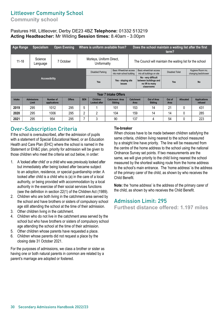## Littleover Community School

**Community school** 

#### Pastures Hill, Littleover, Derby DE23 4BZ **Telephone:** 01332 513219 **Acting Headteacher:** Mr Wilding **Session times:** 8.40am - 3.00pm

| <b>Age Range</b> | <b>Specialism</b>          |                      |           | <b>Open Evening</b> |                                                                                        | Where is uniform available from?                                                  |                             |  | Does the school maintain a waiting list after the first<br>term? |                                                                               |                        |                  |                                          |  |
|------------------|----------------------------|----------------------|-----------|---------------------|----------------------------------------------------------------------------------------|-----------------------------------------------------------------------------------|-----------------------------|--|------------------------------------------------------------------|-------------------------------------------------------------------------------|------------------------|------------------|------------------------------------------|--|
| $11 - 18$        | Science<br>Language        |                      |           | 7 October           | Morleys, Uniform Direct,<br>Uniformality                                               |                                                                                   |                             |  | The Council will maintain the waiting list for the school        |                                                                               |                        |                  |                                          |  |
|                  |                            |                      |           |                     | <b>Basic Wheelchair access</b><br><b>Disabled Parking</b><br>into main school building |                                                                                   |                             |  |                                                                  | Basic wheelchair access<br>into all buildings on site                         | <b>Disabled Toilet</b> |                  | Hygiene Room inc.<br>changing bed/shower |  |
|                  |                            | <b>Accessibility</b> |           |                     | Yes - sloping site<br>Yes<br>issues                                                    |                                                                                   |                             |  |                                                                  | No - very difficult<br>between buildings and<br>no lift to many<br>classrooms | Yes                    |                  | <b>No</b>                                |  |
|                  |                            |                      |           |                     |                                                                                        |                                                                                   | <b>Year 7 Intake Offers</b> |  |                                                                  |                                                                               |                        |                  |                                          |  |
| Intake           | <b>Admissions</b><br>Limit | applications         | Number of | <b>Offers</b>       | <b>SEN</b>                                                                             | <b>Children</b><br><b>Catchment Area</b><br><b>Looked after</b><br><b>Sibling</b> |                             |  | <b>Catchment</b><br>Area                                         | Out of Area<br><b>Sibling</b>                                                 | Out of<br>Area         | <b>Allocated</b> | <b>Applications</b><br>refused           |  |
| 2019             | 295                        |                      | 1012      | 295                 | 5                                                                                      |                                                                                   | 101                         |  | 153                                                              | 14                                                                            | 21                     | 0                | 431                                      |  |
| 2020             | 295                        |                      | 1006      | 295                 | 2                                                                                      | 2                                                                                 | 104                         |  | 159                                                              | 14                                                                            | 14                     |                  | 285                                      |  |

**2021** 295 954 295 7 3 90 137 4 54 0 223

#### Over-Subscription Criteria

If the school is oversubscribed, after the admission of pupils with a statement of Special Educational Need, or an Education Health and Care Plan (EHC) where the school is named in the Statement or EH&C plan, priority for admission will be given to those children who meet the criteria set out below, in order:

- 1. A 'looked after child' or a child who was previously looked after but immediately after being looked after became subject to an adoption, residence, or special guardianship order. A looked after child is a child who is (a) in the care of a local authority, or being provided with accommodation by a local authority in the exercise of their social services functions (see the definition in section 22(1) of the Children Act (1989).
- 2. Children who are both living in the catchment area served by the school and have brothers or sisters of compulsory school age still attending the school at the time of their admission.
- 3. Other children living in the catchment.
- 4. Children who do not live in the catchment area served by the school but who have brothers or sisters of compulsory school age attending the school at the time of their admission.
- 5. Other children whose parents have requested a place.
- 6. Children whose parents did not request a place by the closing date 31 October 2021.

For the purposes of admissions, we class a brother or sister as having one or both natural parents in common are related by a parent's marriage are adopted or fostered.

#### **Tie-breaker**

When choices have to be made between children satisfying the same criteria, children living nearest to the school measured by a straight line have priority. The line will be measured from the centre of the home address to the school using the national Ordnance Survey set points. If two measurements are the same, we will give priority to the child living nearest the school measured by the shortest walking route from the home address to the school's main entrance. The 'home address' is the address of the primary carer of the child, as shown by who receives the Child Benefit.

**Note:** the 'home address' is the address of the primary carer of the child, as shown by who receives the Child Benefit.

#### Admission Limit: 295

**Furthest distance offered: 1.197 miles**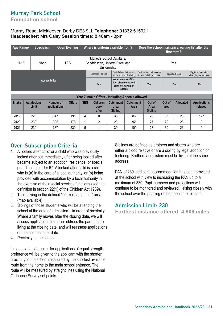## Murray Park School

**Foundation school** 

#### Murray Road, Mickleover, Derby DE3 9LL **Telephone:** 01332 515921 **Headteacher:** Mrs Caley **Session times:** 8.40am - 3pm

| <b>Age Range</b> | <b>Specialism</b>    | <b>Open Evening</b> | Where is uniform available from?                                              |                                                                                     | Does the school maintain a waiting list after the<br>first term? |                        |                                          |  |  |
|------------------|----------------------|---------------------|-------------------------------------------------------------------------------|-------------------------------------------------------------------------------------|------------------------------------------------------------------|------------------------|------------------------------------------|--|--|
| $11 - 16$        | None                 | <b>TBC</b>          | Morley's School Outfitters,<br>Chaddesden, Uniform Direct and<br>Uniformality |                                                                                     | Yes                                                              |                        |                                          |  |  |
|                  |                      |                     | <b>Disabled Parking</b>                                                       | <b>Basic Wheelchair access</b><br>into main school building                         | Basic wheelchair access<br>into all buildings on site            | <b>Disabled Toilet</b> | Hygiene Room inc.<br>changing bed/shower |  |  |
|                  | <b>Accessibility</b> |                     | Yes                                                                           | Yes - a number of first<br>floor classrooms, with<br>some not having lift<br>access | Yes                                                              | Yes                    | <b>No</b>                                |  |  |

|               | Year 7 Intake Offers - Including Appeals Allowed |                           |               |            |                                  |                                            |                                 |                                  |                |                  |                                |
|---------------|--------------------------------------------------|---------------------------|---------------|------------|----------------------------------|--------------------------------------------|---------------------------------|----------------------------------|----------------|------------------|--------------------------------|
| <b>Intake</b> | <b>Admissions</b><br><b>Limit</b>                | Number of<br>applications | <b>Offers</b> | <b>SEN</b> | <b>Children</b><br>Look<br>after | <b>Catchment</b><br>area<br><b>Sibling</b> | <b>Catchment</b><br><b>Area</b> | Out of<br>Area<br><b>Sibling</b> | Out of<br>area | <b>Allocated</b> | <b>Applications</b><br>refused |
| 2019          | 220                                              | 347                       | 191           | 4          |                                  | 38                                         | 86                              | 28                               | 35             | 26               | 127                            |
| 2020          | 230                                              | 305                       | 178           |            |                                  | 23                                         | 92                              | 27                               | 22             | 28               |                                |
| 2021          | 230                                              | 337                       | 230           | 5          |                                  | 39                                         | 109                             | 23                               | 30             | 23               |                                |

#### Over-Subscription Criteria

- 1. A 'looked after child' or a child who was previously looked after but immediately after being looked after became subject to an adoption, residence, or special guardianship order 67. A looked after child is a child who is (a) in the care of a local authority, or (b) being provided with accommodation by a local authority in the exercise of their social services functions (see the definition in section 22(1) of the Children Act 1989).
- 2. Those living in the defined "normal catchment" area (map available).
- 3. Siblings of those students who will be attending the school at the date of admission – in order of proximity. Where a family moves after the closing date, we will assess applications from the address the parents are living at the closing date, and will reassess applications on the national offer date.
- 4. Proximity to the school.

In cases of a tiebreaker for applications of equal strength, preference will be given to the applicant with the shorter proximity to the school measured by the shortest available route from the home to the main school entrance. The route will be measured by straight lines using the National Ordnance Survey set points.

Siblings are defined as brothers and sisters who are either a blood relative or are a sibling by legal adoption or fostering. Brothers and sisters must be living at the same address.

PAN of 230 'additional accommodation has been provided at the school with view to increasing the PAN up to a maximum of 330. Pupil numbers and projections will continue to be monitored and reviewed, liaising closely with the school over the phasing of the opening of places'.

#### Admission Limit: 230

**Furthest distance offered: 4.908 miles**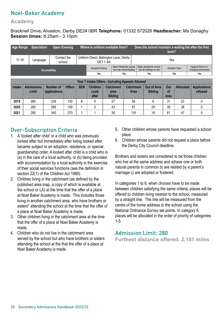## Noel-Baker Academy

#### **Academy**

Bracknell Drive, Alvaston, Derby DE24 0BR **Telephone:** 01332 572026 **Headteacher:** Ms Donaghy **Session times:** 8.25am - 3.10pm

| Age Range | <b>Specialism</b>          | <b>Open Evening</b>       |               |                                                  | Where is uniform available from?                |                                                      |                                            |                                                       | Does the school maintain a waiting list after the first<br>term? |                                      |                        |                                          |                                |  |  |
|-----------|----------------------------|---------------------------|---------------|--------------------------------------------------|-------------------------------------------------|------------------------------------------------------|--------------------------------------------|-------------------------------------------------------|------------------------------------------------------------------|--------------------------------------|------------------------|------------------------------------------|--------------------------------|--|--|
| $11 - 18$ | Language                   | Contact the<br>school     |               |                                                  | Uniform Direct, Babington Lane, Derby<br>DE11SX |                                                      |                                            |                                                       |                                                                  | Yes                                  |                        |                                          |                                |  |  |
|           |                            | <b>Accessibility</b>      |               |                                                  | Disabled Parking                                | Basic Wheelchair access<br>into main school building |                                            | Basic wheelchair access<br>into all buildings on site |                                                                  |                                      | <b>Disabled Toilet</b> | Hygiene Room inc.<br>changing bed/shower |                                |  |  |
|           |                            |                           |               |                                                  | Yes<br>Yes                                      |                                                      |                                            |                                                       | Yes<br>Yes<br><b>Yes</b>                                         |                                      |                        |                                          |                                |  |  |
|           |                            |                           |               |                                                  |                                                 |                                                      |                                            |                                                       |                                                                  |                                      |                        |                                          |                                |  |  |
|           |                            |                           |               | Year 7 Intake Offers - Including Appeals Allowed |                                                 |                                                      |                                            |                                                       |                                                                  |                                      |                        |                                          |                                |  |  |
| Intake    | <b>Admissions</b><br>Limit | Number of<br>applications | <b>Offers</b> | <b>SEN</b>                                       | <b>Children</b><br>Look<br>after                |                                                      | <b>Catchment</b><br>area<br><b>Sibling</b> |                                                       | <b>Catchment</b><br><b>Area</b>                                  | <b>Out of Area</b><br><b>Sibling</b> | Out<br>0f<br>area      | <b>Allocated</b>                         | <b>Applications</b><br>refused |  |  |
| 2019      | 280                        | 239                       | 130           | 6                                                | 0                                               |                                                      | 27                                         | 58                                                    |                                                                  | 8                                    | 31                     | 23                                       |                                |  |  |
| 2020      | 280                        | 299                       | 199           |                                                  | 0                                               | 43                                                   |                                            | 87                                                    |                                                                  | 29                                   | 39                     | 38                                       |                                |  |  |
| 2021      | 280                        | 340                       | 270           |                                                  |                                                 |                                                      | 26                                         |                                                       | 116                                                              | 18                                   | 61                     | 47                                       |                                |  |  |

## Over-Subscription Criteria

- 1. A 'looked after child' or a child who was previously looked after but immediately after being looked after became subject to an adoption, residence, or special guardianship order. A looked after child is a child who is (a) in the care of a local authority, or (b) being provided with accommodation by a local authority in the exercise of their social services functions (see the definition in section 22(1) of the Children Act 1989).
- 2. Children living in the catchment (as defined by the published area map, a copy of which is available at the school or LA) at the time that the offer of a place at Noel Baker Academy is made. This includes those living in another catchment area, who have brothers or sisters\* attending the school at the time that the offer of a place at Noel Baker Academy is made.
- 3. Other children living in the catchment area at the time that the offer of a place at Noel Baker Academy is made.
- 4. Children who do not live in the catchment area served by the school but who have brothers or sisters attending the school at the that the offer of a place at Noel Baker Academy is made.
- 5. Other children whose parents have requested a school place.
- 6. Children whose parents did not request a place before the Derby City Council deadline.

Brothers and sisters are considered to be those children who live at the same address and a)have one or both natural parents in common b) are related by a parent's marriage c) are adopted or fostered.

In categories 1 to 6, when choices have to be made between children satisfying the same criteria, places will be offered to children living nearest to the school, measured by a straight line. The line will be measured from the centre of the home address to the school using the National Ordnance Survey set points. In category 6, places will be allocated in the order of priority of categories 1-5.

#### Admission Limit: 280

**Furthest distance offered: 2.181 miles**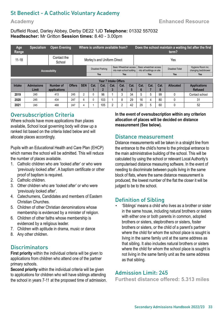## St Benedict - A Catholic Voluntary Academy

#### **Academy**

#### **Enhanced Resource**

#### Duffield Road, Darley Abbey, Derby DE22 1JD **Telephone:** 01332 557032 **Headteacher:** Mr Gritton **Session times:** 8.40 - 3.00pm

| Age<br>Range | <b>Specialism</b>          | <b>Open Evening</b>       |               | Where is uniform available from? |      |                        |           |                                                             | Does the school maintain a waiting list after the first<br>term? |                                                       |      |           |                        |                                          |
|--------------|----------------------------|---------------------------|---------------|----------------------------------|------|------------------------|-----------|-------------------------------------------------------------|------------------------------------------------------------------|-------------------------------------------------------|------|-----------|------------------------|------------------------------------------|
| $11 - 18$    |                            | Contact the<br>School     |               | Morley's and Uniform Direct      |      |                        |           |                                                             |                                                                  | Yes                                                   |      |           |                        |                                          |
|              |                            | Accessibility             |               | <b>Disabled Parking</b>          |      |                        |           | <b>Basic Wheelchair access</b><br>into main school building |                                                                  | Basic wheelchair access<br>into all buildings on site |      |           | <b>Disabled Toilet</b> | Hygiene Room inc.<br>changing bed/shower |
|              |                            |                           |               | Yes<br>Yes                       |      |                        |           |                                                             |                                                                  |                                                       | Yes  |           | Yes                    | <b>Yes</b>                               |
|              |                            |                           |               |                                  |      |                        |           | <b>Year 7 Intake Offers</b>                                 |                                                                  |                                                       |      |           |                        |                                          |
| Intake       | <b>Admissions</b><br>Limit | Number of<br>applications | <b>Offers</b> | <b>SEN</b>                       | Cat. | Cat.<br>$\overline{2}$ | Cat.<br>3 | Cat.<br>4                                                   | Cat.<br>5                                                        | Cat.<br>6                                             | Cat. | Cat.<br>8 | <b>Allocated</b>       | <b>Applications</b><br><b>Refused</b>    |
| 2019         | 245                        | 413                       | 245           | 2                                | 0    | 96                     |           | 3                                                           | 34                                                               | 5                                                     | 5    | 99        | 0                      | Contact school                           |
| 2020         | 245                        | 434                       | 247           | 6                                | 0    | 103                    |           | 8                                                           | 29                                                               | 16                                                    | 4    | 80        | 0                      | 31                                       |
| 2021         | 245                        | 468                       | 247           |                                  |      | 105                    | າ         | c                                                           | 42                                                               | 29                                                    | 5    | 60        | 0                      | 52                                       |

#### Oversubscription Criteria

Where schools have more applications than places available, School local governing body will draw up a ranked list based on the criteria listed below and will allocate places accordingly.

Pupils with an Educational Health and Care Plan (EHCP) which names the school will be admitted. This will reduce the number of places available.

- 1. Catholic children who are 'looked after' or who were 'previously looked after'. A baptism certificate or other proof of baptism is required.
- 2. Catholic children.
- 3. Other children who are 'looked after' or who were 'previously looked after'.
- 4. Catechumens, Candidates and members of Eastern Christian Churches.
- 5. Children of other Christian denominations whose membership is evidenced by a minister of religion.
- 6. Children of other faiths whose membership is evidenced by a religious leader.
- 7. Children with aptitude in drama, music or dance
- 8. Any other children.

#### **Discriminators**

**First priority** within the individual criteria will be given to applications from children who attend one of the partner primary schools.

**Second priority** within the individual criteria will be given to applications for children who will have siblings attending the school in years 7-11 at the proposed time of admission. **In the event of oversubscription within any criterion allocation of places will be decided on distance measurement (See below).** 

#### Distance measurement

Distance measurements will be taken in a straight line from the entrance to the child's home to the principal entrance to the main administrative building of the school. This will be calculated by using the school or relevant Local Authority's computerised distance measuring software. In the event of needing to discriminate between pupils living in the same block of flats, where the same distance measurement is produced, the lowest number of the flat the closer it will be judged to be to the school.

#### Definition of Sibling

• 'Siblings' means a child who lives as a brother or sister in the same house, including natural brothers or sisters with either one or both parents in common, adopted brothers or sisters, stepbrothers or sisters, foster brothers or sisters, or the child of a parent's partner where the child for whom the school place is sought is living in the same family unit at the same address as that sibling. It also includes natural brothers or sisters where the child for whom the school place is sought is not living in the same family unit as the same address as that sibling.

#### Admission Limit: 245

**Furthest distance offered: 5.313 miles**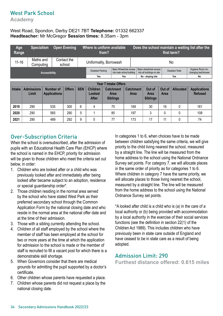#### West Park School

**Academy** 

#### West Road, Spondon, Derby DE21 7BT **Telephone:** 01332 662337 **Headteacher:** Mr McGregor **Session times:** 8.35am - 3pm

| Age<br>Range                | <b>Specialism</b>          |                                  | <b>Open Evening</b>   |               |            | Where is uniform available<br>from? |  |                                                             |                                 |                                | Does the school maintain a waiting list after the<br>first term? |                |                        |                                          |  |  |
|-----------------------------|----------------------------|----------------------------------|-----------------------|---------------|------------|-------------------------------------|--|-------------------------------------------------------------|---------------------------------|--------------------------------|------------------------------------------------------------------|----------------|------------------------|------------------------------------------|--|--|
| $11 - 16$                   | Maths and<br>Computing     |                                  | Contact the<br>school |               |            | Uniformality, Borrowash             |  |                                                             |                                 |                                | No                                                               |                |                        |                                          |  |  |
|                             |                            | <b>Accessibility</b>             |                       |               |            | Disabled Parking                    |  | <b>Basic Wheelchair access</b><br>into main school building |                                 |                                | Basic wheelchair access<br>into all buildings on site            |                | <b>Disabled Toilet</b> | Hygiene Room inc.<br>changing bed/shower |  |  |
|                             |                            |                                  |                       |               |            | Yes<br>Yes                          |  |                                                             |                                 | No - sloping site<br>Yes<br>No |                                                                  |                |                        |                                          |  |  |
| <b>Year 7 Intake Offers</b> |                            |                                  |                       |               |            |                                     |  |                                                             |                                 |                                |                                                                  |                |                        |                                          |  |  |
| Intake                      | <b>Admissions</b><br>Limit | Number of<br><b>Applications</b> |                       | <b>Offers</b> | <b>SEN</b> | <b>Children</b><br>Looked<br>After  |  | Catchment<br>Area<br><b>Siblings</b>                        | <b>Catchment</b><br><b>Area</b> |                                | Out of<br><b>Area</b><br><b>Siblings</b>                         | Out of<br>Area | <b>Allocated</b>       | <b>Applications</b><br><b>Refused</b>    |  |  |
| 2019                        | 290                        | 535                              |                       | 300           | 6          | 4                                   |  | 75                                                          | 169                             |                                | 30                                                               | 16             | 0                      | 161                                      |  |  |
| 2020                        | 290                        | 565                              |                       | 290           | 5          |                                     |  | 85                                                          | 197                             |                                | 3                                                                | 0              | 0                      | 108                                      |  |  |
| 2021                        | 290                        | 489                              |                       | 292           | 9          | 5                                   |  | 77                                                          | 173                             |                                | 17                                                               | 11             | 0                      | 74                                       |  |  |

#### Over-Subscription Criteria

When the school is oversubscribed, after the admission of pupils with an Educational Health Care Plan (EHCP) where the school is named in the EHCP, priority for admission will be given to those children who meet the criteria set out below, in order:

- 1. Children who are looked after or a child who was previously looked after and immediately after being looked after became subject to an adoption, residence or special guardianship order\*.
- 2. Those children residing in the normal area served by the school who have stated West Park as their preferred secondary school through the Common Application Form by the national closing date and who reside in the normal area at the national offer date and at the time of their admission.
- 3. Those with a sibling currently attending the school.
- 4. Children of all staff employed by the school where the member of staff has been employed at the school for two or more years at the time at which the application for admission to the school is made or the member of staff is recruited to fill a vacant post for which there is a demonstrable skill shortage.
- 5. When Governors consider that there are medical grounds for admitting the pupil supported by a doctor's certificate.
- 6. Other children whose parents have requested a place.
- 7. Children whose parents did not request a place by the national closing date.

In categories 1 to 6, when choices have to be made between children satisfying the same criteria, we will give priority to the child living nearest the school, measured by a straight line. The line will be measured from the home address to the school using the National Ordnance Survey set points. For category 7, we will allocate places in the same order of priority as for categories 1 to 6. Where children in category 7 have the same priority, we will allocate places to those living nearest the school, measured by a straight line. The line will be measured from the home address to the school using the National Ordnance Survey set points.

\*A looked after child is a child who is (a) in the care of a local authority or (b) being provided with accommodation by a local authority in the exercise of their social services functions (see the definition in section 22(1) of the Children Act 1989). This includes children who have previously been in state care outside of England and have ceased to be in state care as a result of being adopted.

#### Admission Limit: 290

**Furthest distance offered: 0.615 miles**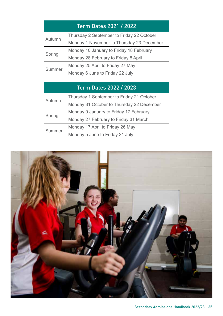## Term Dates 2021 / 2022

<span id="page-34-0"></span>

| Autumn | Thursday 2 September to Friday 22 October |
|--------|-------------------------------------------|
|        | Monday 1 November to Thursday 23 December |
|        | Monday 10 January to Friday 18 February   |
| Spring | Monday 28 February to Friday 8 April      |
| Summer | Monday 25 April to Friday 27 May          |
|        | Monday 6 June to Friday 22 July           |

## Term Dates 2022 / 2023

| Autumn | Thursday 1 September to Friday 21 October |
|--------|-------------------------------------------|
|        | Monday 31 October to Thursday 22 December |
|        | Monday 9 January to Friday 17 February    |
| Spring | Monday 27 February to Friday 31 March     |
| Summer | Monday 17 April to Friday 26 May          |
|        | Monday 5 June to Friday 21 July           |